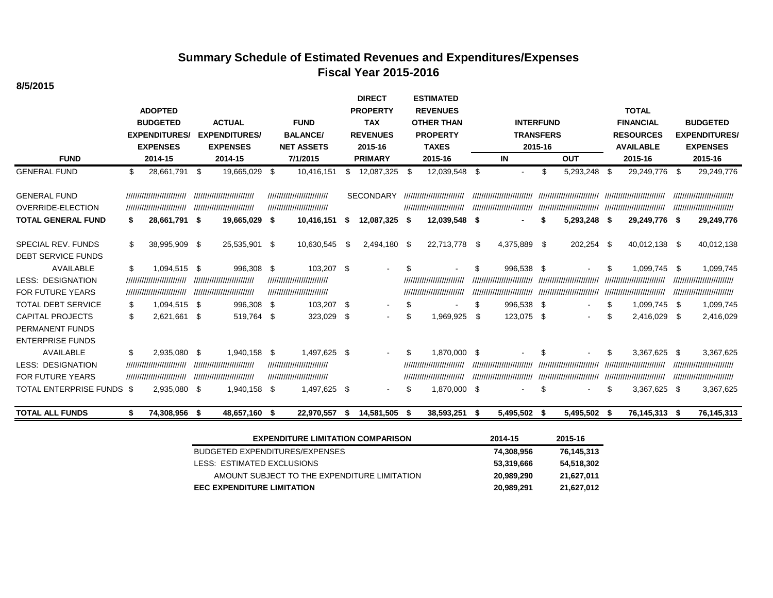# **Summary Schedule of Estimated Revenues and Expenditures/Expenses Fiscal Year 2015-2016**

**8/5/2015**

| <b>FUND</b>                                                                                        |           | <b>ADOPTED</b><br><b>BUDGETED</b><br><b>EXPENDITURES/</b><br><b>EXPENSES</b><br>2014-15 | <b>ACTUAL</b><br><b>EXPENDITURES/</b><br><b>EXPENSES</b><br>2014-15                          | <b>FUND</b><br><b>BALANCE/</b><br><b>NET ASSETS</b><br>7/1/2015                         |           | <b>DIRECT</b><br><b>PROPERTY</b><br><b>TAX</b><br><b>REVENUES</b><br>2015-16<br><b>PRIMARY</b> |            | <b>ESTIMATED</b><br><b>REVENUES</b><br><b>OTHER THAN</b><br><b>PROPERTY</b><br><b>TAXES</b><br>2015-16 | <b>INTERFUND</b><br><b>TRANSFERS</b><br>2015-16<br><b>OUT</b><br>IN |                                                                        |          |                                                           | <b>TOTAL</b><br><b>FINANCIAL</b><br><b>RESOURCES</b><br><b>AVAILABLE</b><br>2015-16 | <b>BUDGETED</b><br><b>EXPENDITURES/</b><br><b>EXPENSES</b><br>2015-16                 |          |                                                                                      |
|----------------------------------------------------------------------------------------------------|-----------|-----------------------------------------------------------------------------------------|----------------------------------------------------------------------------------------------|-----------------------------------------------------------------------------------------|-----------|------------------------------------------------------------------------------------------------|------------|--------------------------------------------------------------------------------------------------------|---------------------------------------------------------------------|------------------------------------------------------------------------|----------|-----------------------------------------------------------|-------------------------------------------------------------------------------------|---------------------------------------------------------------------------------------|----------|--------------------------------------------------------------------------------------|
| <b>GENERAL FUND</b>                                                                                | \$        | 28,661,791                                                                              | \$<br>19,665,029 \$                                                                          | 10,416,151                                                                              | \$        | 12,087,325                                                                                     | - \$       | 12,039,548 \$                                                                                          |                                                                     | $\blacksquare$                                                         | \$       | 5,293,248                                                 | - \$                                                                                | 29,249,776                                                                            | - \$     | 29,249,776                                                                           |
| <b>GENERAL FUND</b><br><b>OVERRIDE-ELECTION</b>                                                    |           | ,,,,,,,,,,,,,,,,,,,,,,,,,,<br>,,,,,,,,,,,,,,,,,,,,,,,,,,                                | ,,,,,,,,,,,,,,,,,,,,,,,,,<br>,,,,,,,,,,,,,,,,,,,,,,,,,,                                      | ,,,,,,,,,,,,,,,,,,,,,,,,,,<br>////////////////////////////                              |           | <b>SECONDARY</b>                                                                               |            | ,,,,,,,,,,,,,,,,,,,,,,,,,,<br>,,,,,,,,,,,,,,,,,,,,,,,,,,                                               |                                                                     | ///////////////////////////                                            |          | ,,,,,,,,,,,,,,,,,,,,,,,,,,,,,                             |                                                                                     | ,,,,,,,,,,,,,,,,,,,,,,,,,,,,,,<br>,,,,,,,,,,,,,,,,,,,,,,,,,,,,                        |          | ,,,,,,,,,,,,,,,,,,,,,,,,,,<br>,,,,,,,,,,,,,,,,,,,,,,,,,,,,                           |
| <b>TOTAL GENERAL FUND</b>                                                                          | S.        | 28,661,791 \$                                                                           | 19,665,029 \$                                                                                | 10,416,151                                                                              | - 56      | 12,087,325 \$                                                                                  |            | 12,039,548 \$                                                                                          |                                                                     |                                                                        | S        | 5,293,248 \$                                              |                                                                                     | 29,249,776 \$                                                                         |          | 29,249,776                                                                           |
| SPECIAL REV. FUNDS<br><b>DEBT SERVICE FUNDS</b>                                                    | S         | 38,995,909 \$                                                                           | 25,535,901 \$                                                                                | 10,630,545                                                                              | - \$      | 2,494,180 \$                                                                                   |            | 22,713,778 \$                                                                                          |                                                                     | 4,375,889 \$                                                           |          | 202,254                                                   | - \$                                                                                | 40,012,138 \$                                                                         |          | 40,012,138                                                                           |
| <b>AVAILABLE</b><br><b>LESS: DESIGNATION</b><br><b>FOR FUTURE YEARS</b>                            | \$        | 1,094,515 \$<br>,,,,,,,,,,,,,,,,,,,,,,,,,,<br>///////////////////////////               | 996,308 \$<br>/////////////////////////////<br>////////////////////////////                  | 103,207 \$<br>///////////////////////////<br>////////////////////////////               |           |                                                                                                | £.         | ,,,,,,,,,,,,,,,,,,,,,,,,,<br>/////////////////////////////                                             | \$                                                                  | 996,538 \$<br>,,,,,,,,,,,,,,,,,,,,,,,,,,<br>,,,,,,,,,,,,,,,,,,,,,,,,,, |          | ,,,,,,,,,,,,,,,,,,,,,,,,,<br>,,,,,,,,,,,,,,,,,,,,,,,,,,,, | S                                                                                   | 1,099,745<br>,,,,,,,,,,,,,,,,,,,,,,,,,,<br>,,,,,,,,,,,,,,,,,,,,,,,,,                  | -\$      | 1,099,745<br>////////////////////////////<br>,,,,,,,,,,,,,,,,,,,,,,,,,,              |
| <b>TOTAL DEBT SERVICE</b><br><b>CAPITAL PROJECTS</b><br>PERMANENT FUNDS<br><b>ENTERPRISE FUNDS</b> | \$<br>\$  | 1,094,515 \$<br>2,621,661 \$                                                            | 996,308 \$<br>519,764 \$                                                                     | 103,207<br>323,029                                                                      | \$<br>-\$ | $\overline{\phantom{a}}$<br>$\blacksquare$                                                     | \$.<br>\$. | 1,969,925                                                                                              | \$<br>- \$                                                          | 996,538 \$<br>123,075 \$                                               |          |                                                           |                                                                                     | 1,099,745<br>2,416,029                                                                | \$<br>-S | 1,099,745<br>2,416,029                                                               |
| <b>AVAILABLE</b><br><b>LESS: DESIGNATION</b><br><b>FOR FUTURE YEARS</b><br>TOTAL ENTERPRISE FUNDS  | \$<br>-\$ | 2,935,080<br>,,,,,,,,,,,,,,,,,,,,,,,,,<br>////////////////////////////<br>2,935,080 \$  | \$<br>1,940,158 \$<br>,,,,,,,,,,,,,,,,,,,,,,,,,<br>,,,,,,,,,,,,,,,,,,,,,,,,,<br>1,940,158 \$ | 1,497,625<br>,,,,,,,,,,,,,,,,,,,,,,,,,,<br>////////////////////////////<br>1,497,625 \$ | -\$       | $\blacksquare$<br>$\blacksquare$                                                               | \$<br>\$.  | 1,870,000<br>,,,,,,,,,,,,,,,,,,,,,,,,,,,<br>,,,,,,,,,,,,,,,,,,,,,,,,,,<br>1,870,000 \$                 | - \$                                                                | ,,,,,,,,,,,,,,,,,,,,,,,,,,<br>,,,,,,,,,,,,,,,,,,,,,,,,,,               | \$<br>\$ | ,,,,,,,,,,,,,,,,,,,,,,,,,<br>,,,,,,,,,,,,,,,,,,,,,,,,,,   | S<br>S                                                                              | 3,367,625<br>,,,,,,,,,,,,,,,,,,,,,,,,,,<br>,,,,,,,,,,,,,,,,,,,,,,,,,,<br>3,367,625 \$ | -\$      | 3,367,625<br>,,,,,,,,,,,,,,,,,,,,,,,,,,<br>////////////////////////////<br>3,367,625 |
| <b>TOTAL ALL FUNDS</b>                                                                             |           | 74,308,956                                                                              | \$<br>48,657,160 \$                                                                          | 22,970,557                                                                              | S.        | 14,581,505                                                                                     | - \$       | 38,593,251 \$                                                                                          |                                                                     | 5,495,502                                                              | - \$     | 5,495,502 \$                                              |                                                                                     | 76,145,313 \$                                                                         |          | 76,145,313                                                                           |

| <b>EXPENDITURE LIMITATION COMPARISON</b>     | 2014-15    | 2015-16    |
|----------------------------------------------|------------|------------|
| BUDGETED EXPENDITURES/EXPENSES               | 74,308,956 | 76,145,313 |
| LESS: ESTIMATED EXCLUSIONS                   | 53,319,666 | 54,518,302 |
| AMOUNT SUBJECT TO THE EXPENDITURE LIMITATION | 20.989.290 | 21.627.011 |
| <b>EEC EXPENDITURE LIMITATION</b>            | 20,989,291 | 21,627,012 |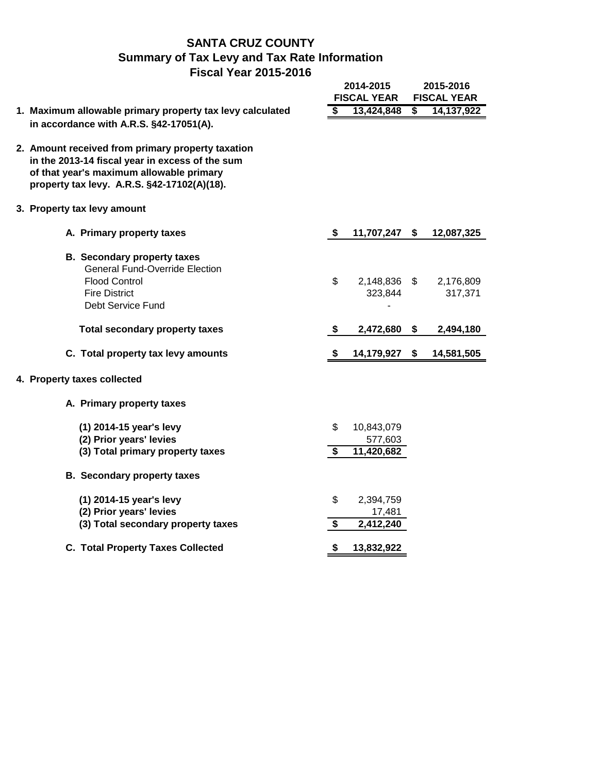## **SANTA CRUZ COUNTY Summary of Tax Levy and Tax Rate Information Fiscal Year 2015-2016**

|                                                                                                                                                                                                 |                                            | 2014-2015<br><b>FISCAL YEAR</b>     |                                      | 2015-2016<br><b>FISCAL YEAR</b> |
|-------------------------------------------------------------------------------------------------------------------------------------------------------------------------------------------------|--------------------------------------------|-------------------------------------|--------------------------------------|---------------------------------|
| 1. Maximum allowable primary property tax levy calculated                                                                                                                                       | \$                                         | 13,424,848                          | $\overline{\boldsymbol{\mathsf{s}}}$ | 14, 137, 922                    |
| in accordance with A.R.S. §42-17051(A).                                                                                                                                                         |                                            |                                     |                                      |                                 |
| 2. Amount received from primary property taxation<br>in the 2013-14 fiscal year in excess of the sum<br>of that year's maximum allowable primary<br>property tax levy. A.R.S. §42-17102(A)(18). |                                            |                                     |                                      |                                 |
| 3. Property tax levy amount                                                                                                                                                                     |                                            |                                     |                                      |                                 |
| A. Primary property taxes                                                                                                                                                                       | \$                                         | 11,707,247 \$                       |                                      | 12,087,325                      |
| <b>B.</b> Secondary property taxes<br><b>General Fund-Override Election</b><br><b>Flood Control</b><br><b>Fire District</b><br>Debt Service Fund                                                | \$                                         | 2,148,836 \$<br>323,844             |                                      | 2,176,809<br>317,371            |
| <b>Total secondary property taxes</b>                                                                                                                                                           | \$                                         | 2,472,680                           | \$                                   | 2,494,180                       |
| C. Total property tax levy amounts                                                                                                                                                              | \$                                         | 14,179,927                          | \$                                   | 14,581,505                      |
| 4. Property taxes collected                                                                                                                                                                     |                                            |                                     |                                      |                                 |
| A. Primary property taxes                                                                                                                                                                       |                                            |                                     |                                      |                                 |
| (1) 2014-15 year's levy<br>(2) Prior years' levies<br>(3) Total primary property taxes                                                                                                          | \$<br>\$                                   | 10,843,079<br>577,603<br>11,420,682 |                                      |                                 |
| <b>B.</b> Secondary property taxes                                                                                                                                                              |                                            |                                     |                                      |                                 |
| (1) 2014-15 year's levy<br>(2) Prior years' levies<br>(3) Total secondary property taxes                                                                                                        | \$<br>$\overline{\boldsymbol{\mathsf{s}}}$ | 2,394,759<br>17,481<br>2,412,240    |                                      |                                 |
| <b>C. Total Property Taxes Collected</b>                                                                                                                                                        | \$                                         | 13,832,922                          |                                      |                                 |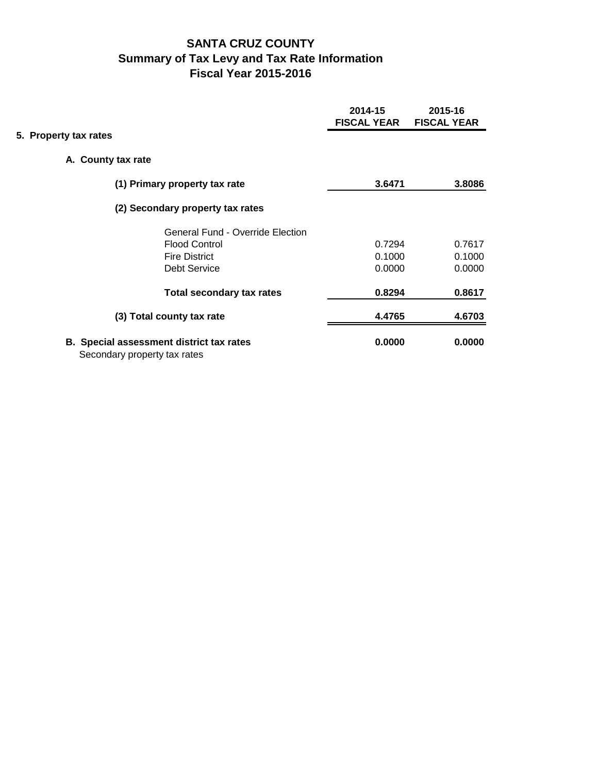# **SANTA CRUZ COUNTY Summary of Tax Levy and Tax Rate Information Fiscal Year 2015-2016**

|                       |                                                                                 | 2014-15<br><b>FISCAL YEAR</b> | 2015-16<br><b>FISCAL YEAR</b> |
|-----------------------|---------------------------------------------------------------------------------|-------------------------------|-------------------------------|
| 5. Property tax rates |                                                                                 |                               |                               |
|                       | A. County tax rate                                                              |                               |                               |
|                       | (1) Primary property tax rate                                                   | 3.6471                        | 3.8086                        |
|                       | (2) Secondary property tax rates                                                |                               |                               |
|                       | <b>General Fund - Override Election</b>                                         |                               |                               |
|                       | <b>Flood Control</b>                                                            | 0.7294                        | 0.7617                        |
|                       | <b>Fire District</b>                                                            | 0.1000                        | 0.1000                        |
|                       | <b>Debt Service</b>                                                             | 0.0000                        | 0.0000                        |
|                       | <b>Total secondary tax rates</b>                                                | 0.8294                        | 0.8617                        |
|                       | (3) Total county tax rate                                                       | 4.4765                        | 4.6703                        |
|                       | <b>B.</b> Special assessment district tax rates<br>Secondary property tax rates | 0.0000                        | 0.0000                        |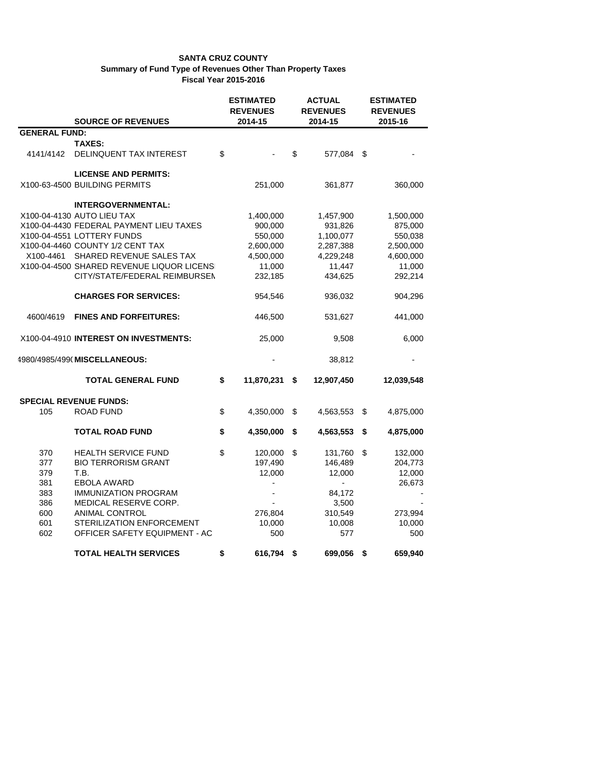|                      |                                            | <b>ESTIMATED</b><br><b>REVENUES</b> | <b>ACTUAL</b><br><b>REVENUES</b> | <b>ESTIMATED</b><br><b>REVENUES</b> |
|----------------------|--------------------------------------------|-------------------------------------|----------------------------------|-------------------------------------|
|                      | <b>SOURCE OF REVENUES</b>                  | 2014-15                             | 2014-15                          | 2015-16                             |
| <b>GENERAL FUND:</b> |                                            |                                     |                                  |                                     |
|                      | <b>TAXES:</b>                              |                                     |                                  |                                     |
| 4141/4142            | DELINQUENT TAX INTEREST                    | \$                                  | \$<br>577,084 \$                 |                                     |
|                      | <b>LICENSE AND PERMITS:</b>                |                                     |                                  |                                     |
|                      | X100-63-4500 BUILDING PERMITS              | 251,000                             | 361,877                          | 360,000                             |
|                      |                                            |                                     |                                  |                                     |
|                      | <b>INTERGOVERNMENTAL:</b>                  |                                     |                                  |                                     |
|                      | X100-04-4130 AUTO LIEU TAX                 | 1,400,000                           | 1,457,900                        | 1,500,000                           |
|                      | X100-04-4430 FEDERAL PAYMENT LIEU TAXES    | 900,000                             | 931,826                          | 875,000                             |
|                      | X100-04-4551 LOTTERY FUNDS                 | 550,000                             | 1,100,077                        | 550,038                             |
|                      | X100-04-4460 COUNTY 1/2 CENT TAX           | 2,600,000                           | 2,287,388                        | 2,500,000                           |
| X100-4461            | SHARED REVENUE SALES TAX                   | 4,500,000                           | 4,229,248                        | 4,600,000                           |
|                      | X100-04-4500 SHARED REVENUE LIQUOR LICENSI | 11,000                              | 11,447                           | 11,000                              |
|                      | CITY/STATE/FEDERAL REIMBURSEN              | 232,185                             | 434,625                          | 292,214                             |
|                      | <b>CHARGES FOR SERVICES:</b>               | 954,546                             | 936,032                          | 904,296                             |
| 4600/4619            | <b>FINES AND FORFEITURES:</b>              | 446,500                             | 531,627                          | 441,000                             |
|                      | X100-04-4910 INTEREST ON INVESTMENTS:      | 25,000                              | 9,508                            | 6,000                               |
|                      | 4980/4985/499( MISCELLANEOUS:              |                                     | 38,812                           |                                     |
|                      | <b>TOTAL GENERAL FUND</b>                  | \$<br>11,870,231                    | \$<br>12,907,450                 | 12,039,548                          |
|                      | <b>SPECIAL REVENUE FUNDS:</b>              |                                     |                                  |                                     |
| 105                  | <b>ROAD FUND</b>                           | \$<br>4,350,000                     | \$<br>4,563,553                  | \$<br>4,875,000                     |
|                      | <b>TOTAL ROAD FUND</b>                     | \$<br>4,350,000                     | \$<br>4,563,553                  | \$<br>4,875,000                     |
| 370                  | <b>HEALTH SERVICE FUND</b>                 | \$<br>120,000                       | \$<br>131,760                    | \$<br>132,000                       |
| 377                  | <b>BIO TERRORISM GRANT</b>                 | 197,490                             | 146,489                          | 204,773                             |
| 379                  | T.B.                                       | 12,000                              | 12,000                           | 12,000                              |
| 381                  | <b>EBOLA AWARD</b>                         |                                     |                                  | 26,673                              |
| 383                  | <b>IMMUNIZATION PROGRAM</b>                |                                     | 84,172                           |                                     |
| 386                  | MEDICAL RESERVE CORP.                      |                                     | 3,500                            |                                     |
| 600                  | <b>ANIMAL CONTROL</b>                      | 276,804                             | 310,549                          | 273,994                             |
| 601                  | <b>STERILIZATION ENFORCEMENT</b>           | 10,000                              | 10,008                           | 10,000                              |
| 602                  | OFFICER SAFETY EQUIPMENT - AC              | 500                                 | 577                              | 500                                 |
|                      | <b>TOTAL HEALTH SERVICES</b>               | \$<br>616,794                       | \$<br>699,056                    | \$<br>659,940                       |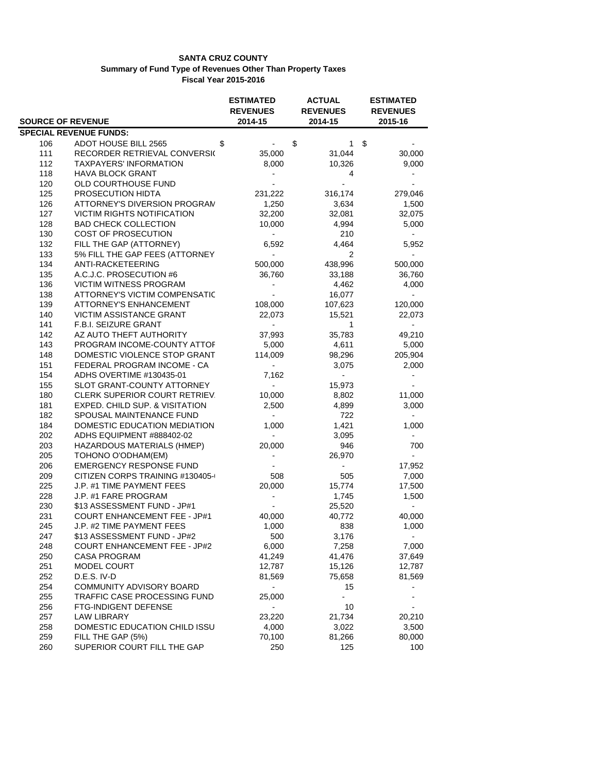|     |                                   | <b>ESTIMATED</b>         | <b>ACTUAL</b>   | <b>ESTIMATED</b>         |
|-----|-----------------------------------|--------------------------|-----------------|--------------------------|
|     |                                   | <b>REVENUES</b>          | <b>REVENUES</b> | <b>REVENUES</b>          |
|     | <b>SOURCE OF REVENUE</b>          | 2014-15                  | 2014-15         | 2015-16                  |
|     | <b>SPECIAL REVENUE FUNDS:</b>     |                          |                 |                          |
| 106 | ADOT HOUSE BILL 2565<br>\$        |                          | \$<br>1         | \$                       |
| 111 | RECORDER RETRIEVAL CONVERSIO      | 35,000                   | 31,044          | 30,000                   |
| 112 | <b>TAXPAYERS' INFORMATION</b>     | 8,000                    | 10,326          | 9,000                    |
| 118 | <b>HAVA BLOCK GRANT</b>           |                          | 4               |                          |
| 120 | OLD COURTHOUSE FUND               |                          |                 |                          |
| 125 | PROSECUTION HIDTA                 | 231,222                  | 316,174         | 279,046                  |
| 126 | ATTORNEY'S DIVERSION PROGRAM      | 1,250                    | 3,634           | 1,500                    |
| 127 | <b>VICTIM RIGHTS NOTIFICATION</b> | 32,200                   | 32,081          | 32,075                   |
| 128 | <b>BAD CHECK COLLECTION</b>       | 10,000                   | 4,994           | 5,000                    |
| 130 | <b>COST OF PROSECUTION</b>        | $\blacksquare$           | 210             |                          |
| 132 | FILL THE GAP (ATTORNEY)           | 6,592                    | 4,464           | 5,952                    |
| 133 | 5% FILL THE GAP FEES (ATTORNEY    | $\overline{a}$           | 2               |                          |
| 134 | ANTI-RACKETEERING                 | 500,000                  | 438,996         | 500,000                  |
| 135 | A.C.J.C. PROSECUTION #6           | 36,760                   | 33,188          | 36,760                   |
| 136 | VICTIM WITNESS PROGRAM            | $\overline{\phantom{0}}$ | 4,462           | 4,000                    |
| 138 | ATTORNEY'S VICTIM COMPENSATIC     | $\blacksquare$           | 16,077          | $\overline{\phantom{0}}$ |
| 139 | <b>ATTORNEY'S ENHANCEMENT</b>     | 108,000                  | 107,623         | 120,000                  |
| 140 | VICTIM ASSISTANCE GRANT           | 22,073                   | 15,521          | 22,073                   |
| 141 | F.B.I. SEIZURE GRANT              |                          | 1               |                          |
| 142 | AZ AUTO THEFT AUTHORITY           | 37,993                   | 35,783          | 49,210                   |
| 143 | PROGRAM INCOME-COUNTY ATTOF       | 5,000                    | 4,611           | 5,000                    |
| 148 | DOMESTIC VIOLENCE STOP GRANT      | 114,009                  | 98,296          | 205,904                  |
| 151 | FEDERAL PROGRAM INCOME - CA       | $\sim$                   | 3,075           | 2,000                    |
| 154 | ADHS OVERTIME #130435-01          | 7,162                    |                 |                          |
| 155 | SLOT GRANT-COUNTY ATTORNEY        | $\overline{\phantom{a}}$ | 15,973          |                          |
| 180 | CLERK SUPERIOR COURT RETRIEV.     | 10,000                   | 8,802           | 11,000                   |
| 181 | EXPED. CHILD SUP. & VISITATION    | 2,500                    | 4,899           | 3,000                    |
| 182 | SPOUSAL MAINTENANCE FUND          | $\blacksquare$           | 722             |                          |
| 184 | DOMESTIC EDUCATION MEDIATION      | 1,000                    | 1,421           | 1,000                    |
| 202 | ADHS EQUIPMENT #888402-02         | $\blacksquare$           | 3,095           |                          |
| 203 | HAZARDOUS MATERIALS (HMEP)        | 20,000                   | 946             | 700                      |
| 205 | TOHONO O'ODHAM(EM)                |                          | 26,970          |                          |
| 206 | <b>EMERGENCY RESPONSE FUND</b>    |                          |                 | 17,952                   |
| 209 | CITIZEN CORPS TRAINING #130405-0  | 508                      | 505             | 7,000                    |
| 225 | J.P. #1 TIME PAYMENT FEES         | 20,000                   | 15,774          | 17,500                   |
| 228 | J.P. #1 FARE PROGRAM              | $\blacksquare$           | 1,745           | 1,500                    |
| 230 | \$13 ASSESSMENT FUND - JP#1       |                          | 25,520          | $\sim$                   |
| 231 | COURT ENHANCEMENT FEE - JP#1      | 40,000                   | 40,772          | 40,000                   |
| 245 | J.P. #2 TIME PAYMENT FEES         | 1,000                    | 838             | 1,000                    |
| 247 | \$13 ASSESSMENT FUND - JP#2       | 500                      | 3,176           |                          |
| 248 | COURT ENHANCEMENT FEE - JP#2      | 6,000                    | 7,258           | 7,000                    |
| 250 | <b>CASA PROGRAM</b>               | 41,249                   | 41,476          | 37,649                   |
| 251 | MODEL COURT                       | 12,787                   | 15,126          | 12,787                   |
| 252 | D.E.S. IV-D                       | 81,569                   | 75,658          | 81,569                   |
| 254 | <b>COMMUNITY ADVISORY BOARD</b>   | $\blacksquare$           | 15              |                          |
| 255 | TRAFFIC CASE PROCESSING FUND      | 25,000                   |                 |                          |
| 256 | FTG-INDIGENT DEFENSE              | $\overline{\phantom{0}}$ | 10              |                          |
| 257 | <b>LAW LIBRARY</b>                | 23,220                   | 21,734          | 20,210                   |
| 258 | DOMESTIC EDUCATION CHILD ISSU     | 4,000                    | 3,022           | 3,500                    |
| 259 | FILL THE GAP (5%)                 | 70,100                   | 81,266          | 80,000                   |
| 260 | SUPERIOR COURT FILL THE GAP       | 250                      | 125             | 100                      |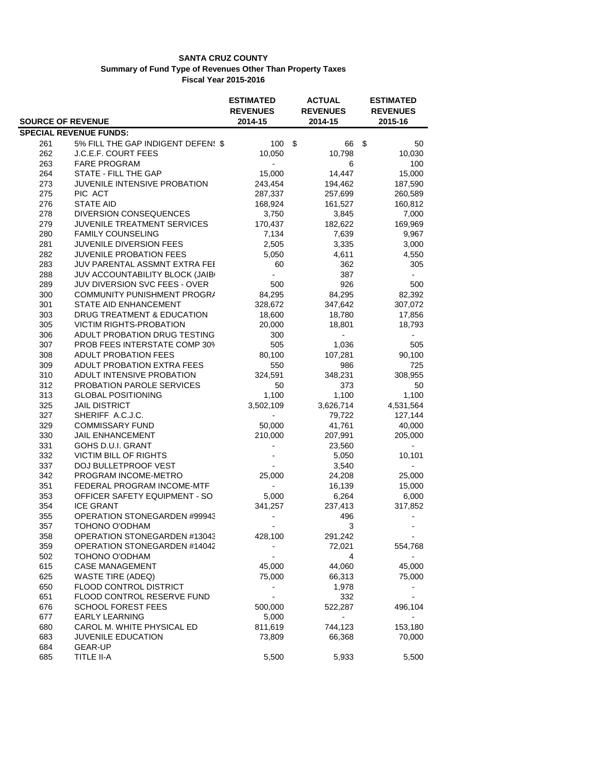|                          |                                     | <b>ESTIMATED</b> | <b>ACTUAL</b>   | <b>ESTIMATED</b> |
|--------------------------|-------------------------------------|------------------|-----------------|------------------|
|                          |                                     | <b>REVENUES</b>  | <b>REVENUES</b> | <b>REVENUES</b>  |
| <b>SOURCE OF REVENUE</b> |                                     | 2014-15          | 2014-15         | 2015-16          |
|                          | <b>SPECIAL REVENUE FUNDS:</b>       |                  |                 |                  |
| 261                      | 5% FILL THE GAP INDIGENT DEFEN! \$  | 100              | \$<br>66        | \$<br>50         |
| 262                      | J.C.E.F. COURT FEES                 | 10,050           | 10,798          | 10,030           |
| 263                      | <b>FARE PROGRAM</b>                 |                  | 6               | 100              |
| 264                      | STATE - FILL THE GAP                | 15,000           | 14,447          | 15,000           |
| 273                      | JUVENILE INTENSIVE PROBATION        | 243,454          | 194,462         | 187,590          |
| 275                      | PIC ACT                             | 287,337          | 257,699         | 260,589          |
| 276                      | <b>STATE AID</b>                    | 168,924          | 161,527         | 160,812          |
| 278                      | <b>DIVERSION CONSEQUENCES</b>       | 3,750            | 3,845           | 7,000            |
| 279                      | JUVENILE TREATMENT SERVICES         | 170,437          | 182,622         | 169,969          |
| 280                      | <b>FAMILY COUNSELING</b>            | 7,134            | 7,639           | 9,967            |
| 281                      | <b>JUVENILE DIVERSION FEES</b>      | 2,505            | 3,335           | 3,000            |
| 282                      | <b>JUVENILE PROBATION FEES</b>      | 5,050            | 4,611           | 4,550            |
| 283                      | JUV PARENTAL ASSMNT EXTRA FEE       | 60               | 362             | 305              |
| 288                      | JUV ACCOUNTABILITY BLOCK (JAIB(     | $\blacksquare$   | 387             | $\blacksquare$   |
| 289                      | JUV DIVERSION SVC FEES - OVER       | 500              | 926             | 500              |
| 300                      | COMMUNITY PUNISHMENT PROGRA         | 84,295           | 84,295          | 82,392           |
| 301                      | <b>STATE AID ENHANCEMENT</b>        | 328,672          | 347,642         | 307,072          |
| 303                      | DRUG TREATMENT & EDUCATION          | 18,600           | 18,780          | 17,856           |
| 305                      | <b>VICTIM RIGHTS-PROBATION</b>      | 20,000           | 18,801          | 18,793           |
| 306                      | ADULT PROBATION DRUG TESTING        | 300              |                 |                  |
| 307                      | PROB FEES INTERSTATE COMP 309       | 505              | 1,036           | 505              |
| 308                      | <b>ADULT PROBATION FEES</b>         | 80,100           | 107,281         | 90,100           |
| 309                      | ADULT PROBATION EXTRA FEES          | 550              | 986             | 725              |
| 310                      | ADULT INTENSIVE PROBATION           | 324,591          | 348,231         | 308,955          |
| 312                      | <b>PROBATION PAROLE SERVICES</b>    | 50               | 373             | 50               |
| 313                      | <b>GLOBAL POSITIONING</b>           | 1,100            | 1,100           | 1,100            |
| 325                      | <b>JAIL DISTRICT</b>                | 3,502,109        | 3,626,714       | 4,531,564        |
| 327                      | SHERIFF A.C.J.C.                    |                  | 79,722          | 127,144          |
| 329                      | <b>COMMISSARY FUND</b>              | 50,000           | 41,761          | 40,000           |
| 330                      | <b>JAIL ENHANCEMENT</b>             | 210,000          | 207,991         | 205,000          |
| 331                      | GOHS D.U.I. GRANT                   |                  | 23,560          |                  |
| 332                      | <b>VICTIM BILL OF RIGHTS</b>        |                  | 5,050           | 10,101           |
| 337                      | DOJ BULLETPROOF VEST                |                  | 3,540           |                  |
| 342                      | PROGRAM INCOME-METRO                | 25,000           | 24,208          | 25,000           |
| 351                      | FEDERAL PROGRAM INCOME-MTF          |                  | 16,139          | 15,000           |
| 353                      | OFFICER SAFETY EQUIPMENT - SO       | 5,000            | 6,264           | 6,000            |
| 354                      | <b>ICE GRANT</b>                    | 341,257          | 237,413         | 317,852          |
| 355                      | <b>OPERATION STONEGARDEN #99943</b> |                  | 496             |                  |
| 357                      | TOHONO O'ODHAM                      |                  | 3               |                  |
| 358                      | OPERATION STONEGARDEN #13043        | 428,100          | 291,242         |                  |
| 359                      | OPERATION STONEGARDEN #14042        |                  | 72,021          | 554,768          |
| 502                      | TOHONO O'ODHAM                      |                  | 4               |                  |
| 615                      | <b>CASE MANAGEMENT</b>              | 45,000           | 44,060          | 45,000           |
| 625                      | <b>WASTE TIRE (ADEQ)</b>            | 75,000           | 66,313          | 75,000           |
| 650                      | FLOOD CONTROL DISTRICT              |                  | 1,978           |                  |
| 651                      | FLOOD CONTROL RESERVE FUND          |                  | 332             |                  |
| 676                      | <b>SCHOOL FOREST FEES</b>           | 500,000          | 522,287         | 496,104          |
| 677                      | <b>EARLY LEARNING</b>               | 5,000            |                 |                  |
| 680                      | CAROL M. WHITE PHYSICAL ED          | 811,619          | 744,123         | 153,180          |
| 683                      | JUVENILE EDUCATION                  | 73,809           | 66,368          | 70,000           |
| 684                      | GEAR-UP                             |                  |                 |                  |
| 685                      | TITLE II-A                          | 5,500            | 5,933           | 5,500            |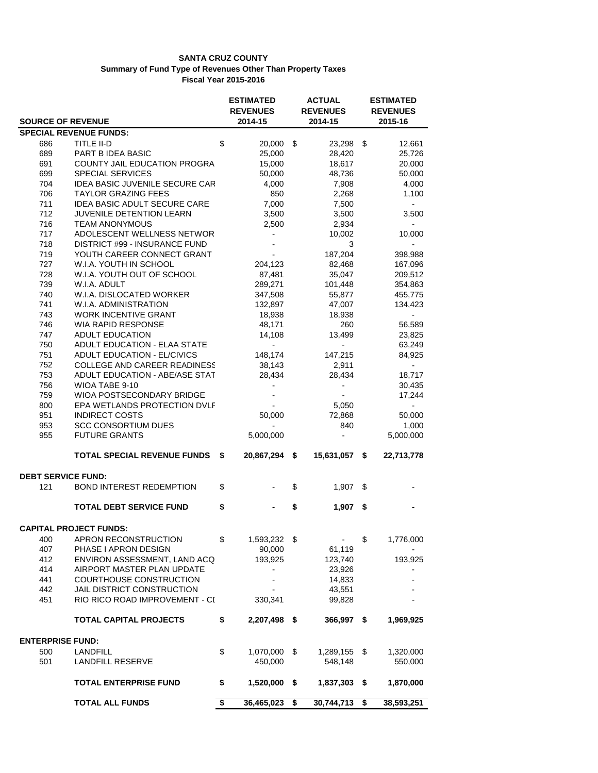|                           |                                                              | <b>ESTIMATED</b><br><b>REVENUES</b> |      | <b>ACTUAL</b><br><b>REVENUES</b> |      | <b>ESTIMATED</b><br><b>REVENUES</b> |
|---------------------------|--------------------------------------------------------------|-------------------------------------|------|----------------------------------|------|-------------------------------------|
| <b>SOURCE OF REVENUE</b>  |                                                              | 2014-15                             |      | 2014-15                          |      | 2015-16                             |
|                           | <b>SPECIAL REVENUE FUNDS:</b>                                |                                     |      |                                  |      |                                     |
| 686                       | TITLE II-D                                                   | \$<br>20,000 \$                     |      | 23,298 \$                        |      | 12,661                              |
| 689                       | PART B IDEA BASIC                                            | 25,000                              |      | 28,420                           |      | 25,726                              |
| 691                       | COUNTY JAIL EDUCATION PROGRA                                 | 15,000                              |      | 18,617                           |      | 20,000                              |
| 699                       | <b>SPECIAL SERVICES</b>                                      | 50,000                              |      | 48,736                           |      | 50,000                              |
| 704                       | IDEA BASIC JUVENILE SECURE CAR                               | 4,000                               |      | 7,908                            |      | 4,000                               |
| 706                       | <b>TAYLOR GRAZING FEES</b>                                   | 850                                 |      | 2,268                            |      | 1,100                               |
| 711                       | IDEA BASIC ADULT SECURE CARE                                 | 7,000                               |      | 7,500                            |      | $\sim$                              |
| 712                       | JUVENILE DETENTION LEARN                                     | 3,500                               |      | 3,500                            |      | 3,500                               |
| 716                       | <b>TEAM ANONYMOUS</b>                                        | 2,500                               |      | 2,934                            |      | $\blacksquare$                      |
| 717                       | ADOLESCENT WELLNESS NETWOR                                   | $\blacksquare$                      |      | 10,002                           |      | 10,000                              |
| 718                       | DISTRICT #99 - INSURANCE FUND                                | $\blacksquare$                      |      | 3                                |      |                                     |
| 719                       | YOUTH CAREER CONNECT GRANT                                   |                                     |      | 187,204                          |      | 398,988                             |
| 727                       | W.I.A. YOUTH IN SCHOOL                                       | 204,123                             |      | 82,468                           |      | 167,096                             |
| 728                       | W.I.A. YOUTH OUT OF SCHOOL                                   | 87,481                              |      | 35,047                           |      | 209,512                             |
| 739                       | W.I.A. ADULT                                                 | 289,271                             |      | 101,448                          |      | 354,863                             |
| 740                       | W.I.A. DISLOCATED WORKER                                     | 347,508                             |      | 55,877                           |      | 455,775                             |
| 741                       | W.I.A. ADMINISTRATION                                        | 132,897                             |      | 47,007                           |      | 134,423                             |
| 743                       | <b>WORK INCENTIVE GRANT</b>                                  | 18,938                              |      | 18,938                           |      | $\overline{\phantom{0}}$            |
| 746                       | <b>WIA RAPID RESPONSE</b>                                    | 48,171                              |      | 260                              |      | 56,589                              |
| 747                       | <b>ADULT EDUCATION</b>                                       | 14,108                              |      | 13,499                           |      | 23,825                              |
| 750                       | ADULT EDUCATION - ELAA STATE                                 | $\blacksquare$                      |      | $\overline{\phantom{a}}$         |      | 63,249                              |
| 751                       | ADULT EDUCATION - EL/CIVICS                                  | 148,174                             |      | 147,215                          |      | 84,925                              |
| 752                       | <b>COLLEGE AND CAREER READINESS</b>                          | 38.143                              |      | 2,911                            |      | $\sim$                              |
| 753                       | ADULT EDUCATION - ABE/ASE STAT                               | 28,434                              |      | 28,434                           |      | 18,717                              |
| 756                       | WIOA TABE 9-10                                               | $\sim$                              |      | $\overline{\phantom{a}}$         |      | 30,435                              |
| 759                       | WIOA POSTSECONDARY BRIDGE                                    |                                     |      | $\overline{\phantom{a}}$         |      | 17,244                              |
| 800                       | EPA WETLANDS PROTECTION DVLF                                 |                                     |      | 5,050                            |      | $\overline{a}$                      |
| 951                       | <b>INDIRECT COSTS</b>                                        | 50,000                              |      | 72,868                           |      | 50,000                              |
| 953                       | <b>SCC CONSORTIUM DUES</b>                                   |                                     |      | 840                              |      | 1,000                               |
| 955                       | <b>FUTURE GRANTS</b>                                         | 5,000,000                           |      | $\blacksquare$                   |      | 5,000,000                           |
|                           | <b>TOTAL SPECIAL REVENUE FUNDS</b>                           | \$<br>20,867,294 \$                 |      | 15,631,057 \$                    |      | 22,713,778                          |
|                           |                                                              |                                     |      |                                  |      |                                     |
| <b>DEBT SERVICE FUND:</b> |                                                              |                                     |      |                                  |      |                                     |
| 121                       | <b>BOND INTEREST REDEMPTION</b>                              | \$                                  | \$   | 1,907                            | \$   |                                     |
|                           | <b>TOTAL DEBT SERVICE FUND</b>                               | \$                                  | \$   | 1,907                            | \$   |                                     |
|                           | <b>CAPITAL PROJECT FUNDS:</b>                                |                                     |      |                                  |      |                                     |
| 400                       | APRON RECONSTRUCTION                                         | \$                                  |      | $\overline{\phantom{a}}$         | \$   |                                     |
| 407                       | PHASE I APRON DESIGN                                         | 1,593,232 \$<br>90,000              |      | 61,119                           |      | 1,776,000                           |
| 412                       |                                                              |                                     |      |                                  |      | 193,925                             |
|                           | ENVIRON ASSESSMENT, LAND ACQ<br>AIRPORT MASTER PLAN UPDATE   | 193,925                             |      | 123,740                          |      |                                     |
| 414<br>441                |                                                              |                                     |      | 23,926                           |      |                                     |
|                           | COURTHOUSE CONSTRUCTION                                      |                                     |      | 14,833                           |      |                                     |
| 442                       | JAIL DISTRICT CONSTRUCTION<br>RIO RICO ROAD IMPROVEMENT - CI |                                     |      | 43,551                           |      |                                     |
| 451                       |                                                              | 330,341                             |      | 99,828                           |      |                                     |
|                           | <b>TOTAL CAPITAL PROJECTS</b>                                | \$<br>2,207,498 \$                  |      | 366,997                          | \$   | 1,969,925                           |
| <b>ENTERPRISE FUND:</b>   |                                                              |                                     |      |                                  |      |                                     |
| 500                       | LANDFILL                                                     | \$<br>1,070,000                     | \$   | 1,289,155 \$                     |      | 1,320,000                           |
| 501                       | LANDFILL RESERVE                                             | 450,000                             |      | 548,148                          |      | 550,000                             |
|                           |                                                              |                                     |      |                                  |      |                                     |
|                           | <b>TOTAL ENTERPRISE FUND</b>                                 | \$<br>1,520,000                     | - \$ | 1,837,303                        | - \$ | 1,870,000                           |
|                           | <b>TOTAL ALL FUNDS</b>                                       | \$<br>36,465,023                    | \$   | 30,744,713                       | \$   | 38,593,251                          |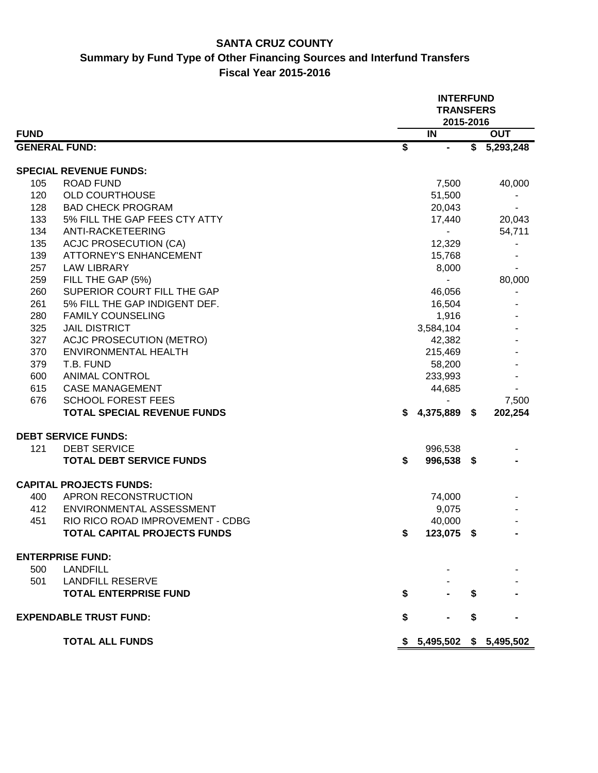## **SANTA CRUZ COUNTY Summary by Fund Type of Other Financing Sources and Interfund Transfers Fiscal Year 2015-2016**

|                      |                                    |                 | <b>INTERFUND</b><br><b>TRANSFERS</b> |    |             |  |  |  |  |  |
|----------------------|------------------------------------|-----------------|--------------------------------------|----|-------------|--|--|--|--|--|
|                      |                                    |                 | 2015-2016                            |    |             |  |  |  |  |  |
| <b>FUND</b>          |                                    |                 | IN                                   |    | <b>OUT</b>  |  |  |  |  |  |
| <b>GENERAL FUND:</b> |                                    | $\overline{\$}$ | $\qquad \qquad \blacksquare$         |    | \$5,293,248 |  |  |  |  |  |
|                      |                                    |                 |                                      |    |             |  |  |  |  |  |
|                      | <b>SPECIAL REVENUE FUNDS:</b>      |                 |                                      |    |             |  |  |  |  |  |
| 105                  | <b>ROAD FUND</b>                   |                 | 7,500                                |    | 40,000      |  |  |  |  |  |
| 120                  | <b>OLD COURTHOUSE</b>              |                 | 51,500                               |    |             |  |  |  |  |  |
| 128                  | <b>BAD CHECK PROGRAM</b>           |                 | 20,043                               |    |             |  |  |  |  |  |
| 133                  | 5% FILL THE GAP FEES CTY ATTY      |                 | 17,440                               |    | 20,043      |  |  |  |  |  |
| 134                  | ANTI-RACKETEERING                  |                 |                                      |    | 54,711      |  |  |  |  |  |
| 135                  | <b>ACJC PROSECUTION (CA)</b>       |                 | 12,329                               |    |             |  |  |  |  |  |
| 139                  | <b>ATTORNEY'S ENHANCEMENT</b>      |                 | 15,768                               |    |             |  |  |  |  |  |
| 257                  | <b>LAW LIBRARY</b>                 |                 | 8,000                                |    |             |  |  |  |  |  |
| 259                  | FILL THE GAP (5%)                  |                 |                                      |    | 80,000      |  |  |  |  |  |
| 260                  | SUPERIOR COURT FILL THE GAP        |                 | 46,056                               |    |             |  |  |  |  |  |
| 261                  | 5% FILL THE GAP INDIGENT DEF.      |                 | 16,504                               |    |             |  |  |  |  |  |
| 280                  | <b>FAMILY COUNSELING</b>           |                 | 1,916                                |    |             |  |  |  |  |  |
| 325                  | <b>JAIL DISTRICT</b>               |                 | 3,584,104                            |    |             |  |  |  |  |  |
| 327                  | <b>ACJC PROSECUTION (METRO)</b>    |                 | 42,382                               |    |             |  |  |  |  |  |
| 370                  | <b>ENVIRONMENTAL HEALTH</b>        |                 | 215,469                              |    |             |  |  |  |  |  |
| 379                  | T.B. FUND                          |                 | 58,200                               |    |             |  |  |  |  |  |
| 600                  | <b>ANIMAL CONTROL</b>              |                 | 233,993                              |    |             |  |  |  |  |  |
| 615                  | <b>CASE MANAGEMENT</b>             |                 | 44,685                               |    |             |  |  |  |  |  |
| 676                  | <b>SCHOOL FOREST FEES</b>          |                 |                                      |    | 7,500       |  |  |  |  |  |
|                      | <b>TOTAL SPECIAL REVENUE FUNDS</b> | S.              | 4,375,889 \$                         |    | 202,254     |  |  |  |  |  |
|                      | <b>DEBT SERVICE FUNDS:</b>         |                 |                                      |    |             |  |  |  |  |  |
| 121                  | <b>DEBT SERVICE</b>                |                 | 996,538                              |    |             |  |  |  |  |  |
|                      | <b>TOTAL DEBT SERVICE FUNDS</b>    | \$              | 996,538 \$                           |    |             |  |  |  |  |  |
|                      |                                    |                 |                                      |    |             |  |  |  |  |  |
|                      | <b>CAPITAL PROJECTS FUNDS:</b>     |                 |                                      |    |             |  |  |  |  |  |
| 400                  | APRON RECONSTRUCTION               |                 | 74,000                               |    |             |  |  |  |  |  |
| 412                  | ENVIRONMENTAL ASSESSMENT           |                 | 9,075                                |    |             |  |  |  |  |  |
| 451                  | RIO RICO ROAD IMPROVEMENT - CDBG   |                 | 40,000                               |    |             |  |  |  |  |  |
|                      | TOTAL CAPITAL PROJECTS FUNDS       | \$              | 123,075 \$                           |    |             |  |  |  |  |  |
|                      | <b>ENTERPRISE FUND:</b>            |                 |                                      |    |             |  |  |  |  |  |
| 500                  | <b>LANDFILL</b>                    |                 |                                      |    |             |  |  |  |  |  |
| 501                  | <b>LANDFILL RESERVE</b>            |                 |                                      |    |             |  |  |  |  |  |
|                      | <b>TOTAL ENTERPRISE FUND</b>       | \$              |                                      | S  |             |  |  |  |  |  |
|                      | <b>EXPENDABLE TRUST FUND:</b>      | \$              |                                      | \$ |             |  |  |  |  |  |
|                      | <b>TOTAL ALL FUNDS</b>             |                 | \$5,495,502                          |    | \$5,495,502 |  |  |  |  |  |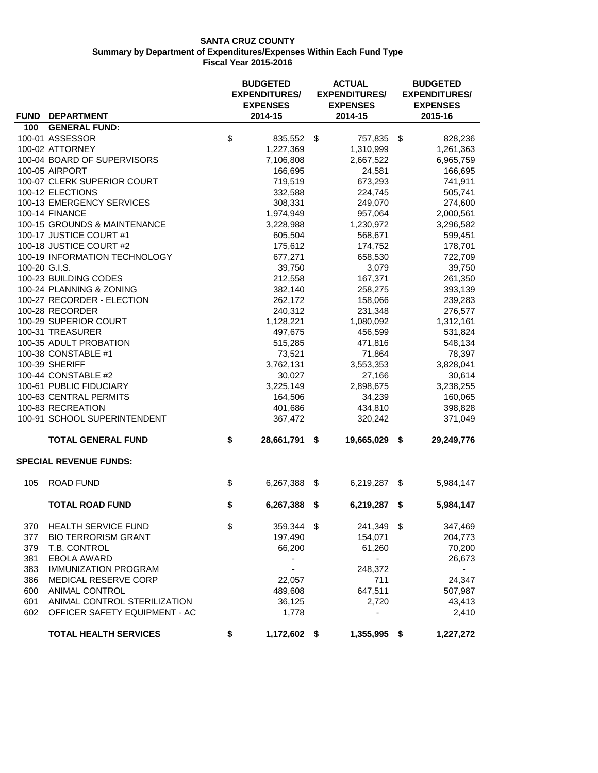|               |                                                |    | <b>BUDGETED</b><br><b>EXPENDITURES/</b><br><b>EXPENSES</b> | <b>ACTUAL</b><br><b>EXPENDITURES/</b><br><b>EXPENSES</b><br>2014-15 | <b>BUDGETED</b><br><b>EXPENDITURES/</b><br><b>EXPENSES</b><br>2015-16 |            |  |
|---------------|------------------------------------------------|----|------------------------------------------------------------|---------------------------------------------------------------------|-----------------------------------------------------------------------|------------|--|
| 100           | <b>FUND DEPARTMENT</b><br><b>GENERAL FUND:</b> |    | 2014-15                                                    |                                                                     |                                                                       |            |  |
|               | 100-01 ASSESSOR                                | \$ | 835,552 \$                                                 | 757,835 \$                                                          |                                                                       | 828,236    |  |
|               | 100-02 ATTORNEY                                |    | 1,227,369                                                  | 1,310,999                                                           |                                                                       | 1,261,363  |  |
|               | 100-04 BOARD OF SUPERVISORS                    |    | 7,106,808                                                  | 2,667,522                                                           |                                                                       | 6,965,759  |  |
|               | 100-05 AIRPORT                                 |    | 166,695                                                    | 24,581                                                              |                                                                       | 166,695    |  |
|               | 100-07 CLERK SUPERIOR COURT                    |    | 719,519                                                    | 673,293                                                             |                                                                       | 741,911    |  |
|               | 100-12 ELECTIONS                               |    | 332,588                                                    | 224,745                                                             |                                                                       | 505,741    |  |
|               | 100-13 EMERGENCY SERVICES                      |    | 308,331                                                    | 249,070                                                             |                                                                       | 274,600    |  |
|               | 100-14 FINANCE                                 |    | 1,974,949                                                  | 957,064                                                             |                                                                       | 2,000,561  |  |
|               | 100-15 GROUNDS & MAINTENANCE                   |    | 3,228,988                                                  | 1,230,972                                                           |                                                                       | 3,296,582  |  |
|               | 100-17 JUSTICE COURT #1                        |    | 605,504                                                    | 568,671                                                             |                                                                       | 599,451    |  |
|               | 100-18 JUSTICE COURT #2                        |    | 175,612                                                    | 174,752                                                             |                                                                       | 178,701    |  |
|               | 100-19 INFORMATION TECHNOLOGY                  |    | 677,271                                                    | 658,530                                                             |                                                                       | 722,709    |  |
| 100-20 G.I.S. |                                                |    | 39,750                                                     | 3,079                                                               |                                                                       | 39,750     |  |
|               | 100-23 BUILDING CODES                          |    | 212,558                                                    | 167,371                                                             |                                                                       | 261,350    |  |
|               | 100-24 PLANNING & ZONING                       |    | 382,140                                                    | 258,275                                                             |                                                                       | 393,139    |  |
|               | 100-27 RECORDER - ELECTION                     |    | 262,172                                                    | 158,066                                                             |                                                                       | 239,283    |  |
|               | 100-28 RECORDER                                |    | 240,312                                                    | 231,348                                                             |                                                                       | 276,577    |  |
|               | 100-29 SUPERIOR COURT                          |    | 1,128,221                                                  | 1,080,092                                                           |                                                                       | 1,312,161  |  |
|               | 100-31 TREASURER                               |    | 497,675                                                    | 456,599                                                             |                                                                       | 531,824    |  |
|               | 100-35 ADULT PROBATION                         |    | 515,285                                                    | 471,816                                                             |                                                                       | 548,134    |  |
|               | 100-38 CONSTABLE #1                            |    | 73,521                                                     | 71,864                                                              |                                                                       | 78,397     |  |
|               | 100-39 SHERIFF                                 |    | 3,762,131                                                  | 3,553,353                                                           |                                                                       | 3,828,041  |  |
|               | 100-44 CONSTABLE #2                            |    | 30,027                                                     | 27,166                                                              |                                                                       | 30,614     |  |
|               | 100-61 PUBLIC FIDUCIARY                        |    | 3,225,149                                                  | 2,898,675                                                           |                                                                       | 3,238,255  |  |
|               | 100-63 CENTRAL PERMITS                         |    | 164,506                                                    | 34,239                                                              |                                                                       | 160,065    |  |
|               | 100-83 RECREATION                              |    | 401,686                                                    | 434,810                                                             |                                                                       | 398,828    |  |
|               | 100-91 SCHOOL SUPERINTENDENT                   |    | 367,472                                                    | 320,242                                                             |                                                                       | 371,049    |  |
|               | <b>TOTAL GENERAL FUND</b>                      | \$ | 28,661,791 \$                                              | 19,665,029                                                          | \$                                                                    | 29,249,776 |  |
|               | <b>SPECIAL REVENUE FUNDS:</b>                  |    |                                                            |                                                                     |                                                                       |            |  |
| 105           | <b>ROAD FUND</b>                               | \$ | 6,267,388                                                  | \$<br>6,219,287                                                     | \$                                                                    | 5,984,147  |  |
|               | <b>TOTAL ROAD FUND</b>                         | \$ | 6,267,388                                                  | \$<br>6,219,287                                                     | \$                                                                    | 5,984,147  |  |
| 370           | <b>HEALTH SERVICE FUND</b>                     | \$ | 359,344                                                    | \$<br>241,349                                                       | \$                                                                    | 347,469    |  |
| 377           | <b>BIO TERRORISM GRANT</b>                     |    | 197,490                                                    | 154,071                                                             |                                                                       | 204,773    |  |
| 379           | T.B. CONTROL                                   |    | 66,200                                                     | 61,260                                                              |                                                                       | 70,200     |  |
| 381           | <b>EBOLA AWARD</b>                             |    | ۰                                                          | $\overline{\phantom{a}}$                                            |                                                                       | 26,673     |  |
| 383           | <b>IMMUNIZATION PROGRAM</b>                    |    |                                                            | 248,372                                                             |                                                                       |            |  |
| 386           | MEDICAL RESERVE CORP                           |    | 22,057                                                     | 711                                                                 |                                                                       | 24,347     |  |
| 600           | <b>ANIMAL CONTROL</b>                          |    | 489,608                                                    | 647,511                                                             |                                                                       | 507,987    |  |
| 601           | ANIMAL CONTROL STERILIZATION                   |    | 36,125                                                     | 2,720                                                               |                                                                       | 43,413     |  |
| 602           | OFFICER SAFETY EQUIPMENT - AC                  |    | 1,778                                                      |                                                                     |                                                                       | 2,410      |  |
|               | <b>TOTAL HEALTH SERVICES</b>                   | \$ | 1,172,602 \$                                               | 1,355,995                                                           | \$                                                                    | 1,227,272  |  |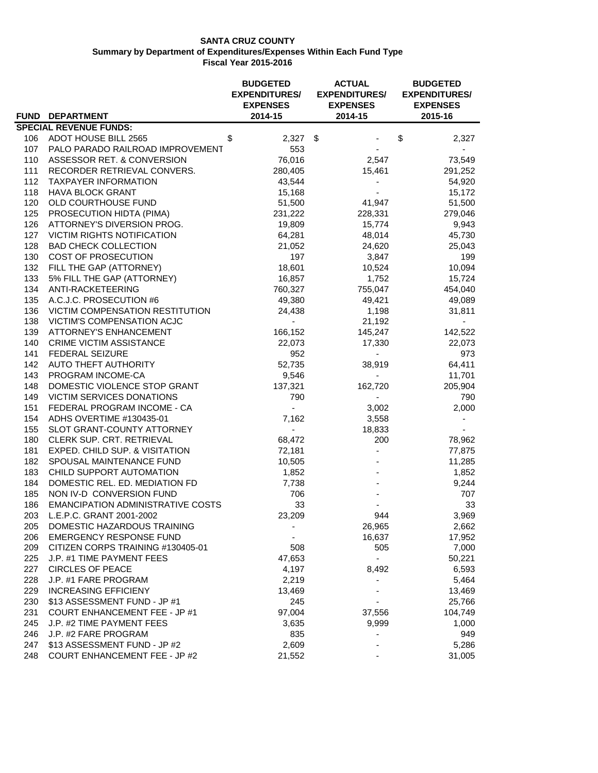|     |                                          | <b>BUDGETED</b><br><b>EXPENDITURES/</b><br><b>EXPENSES</b> | <b>ACTUAL</b><br><b>EXPENDITURES/</b><br><b>EXPENSES</b> | <b>BUDGETED</b><br><b>EXPENDITURES/</b><br><b>EXPENSES</b> |
|-----|------------------------------------------|------------------------------------------------------------|----------------------------------------------------------|------------------------------------------------------------|
|     | FUND DEPARTMENT                          | 2014-15                                                    | 2014-15                                                  | 2015-16                                                    |
|     | <b>SPECIAL REVENUE FUNDS:</b>            |                                                            |                                                          |                                                            |
|     | 106 ADOT HOUSE BILL 2565                 | \$<br>$2,327$ \$                                           |                                                          | \$<br>2,327                                                |
| 107 | PALO PARADO RAILROAD IMPROVEMENT         | 553                                                        |                                                          |                                                            |
| 110 | ASSESSOR RET. & CONVERSION               | 76,016                                                     | 2,547                                                    | 73,549                                                     |
| 111 | RECORDER RETRIEVAL CONVERS.              | 280,405                                                    | 15,461                                                   | 291,252                                                    |
| 112 | <b>TAXPAYER INFORMATION</b>              | 43,544                                                     |                                                          | 54,920                                                     |
| 118 | <b>HAVA BLOCK GRANT</b>                  | 15,168                                                     |                                                          | 15,172                                                     |
| 120 | OLD COURTHOUSE FUND                      | 51,500                                                     | 41,947                                                   | 51,500                                                     |
| 125 | PROSECUTION HIDTA (PIMA)                 | 231,222                                                    | 228,331                                                  | 279,046                                                    |
| 126 | ATTORNEY'S DIVERSION PROG.               | 19,809                                                     | 15,774                                                   | 9,943                                                      |
| 127 | VICTIM RIGHTS NOTIFICATION               | 64,281                                                     | 48,014                                                   | 45,730                                                     |
| 128 | <b>BAD CHECK COLLECTION</b>              | 21,052                                                     | 24,620                                                   | 25,043                                                     |
| 130 | COST OF PROSECUTION                      | 197                                                        | 3,847                                                    | 199                                                        |
| 132 | FILL THE GAP (ATTORNEY)                  | 18,601                                                     | 10,524                                                   | 10,094                                                     |
| 133 | 5% FILL THE GAP (ATTORNEY)               | 16,857                                                     | 1,752                                                    | 15,724                                                     |
| 134 | ANTI-RACKETEERING                        | 760,327                                                    | 755,047                                                  | 454,040                                                    |
| 135 | A.C.J.C. PROSECUTION #6                  | 49,380                                                     | 49,421                                                   | 49,089                                                     |
| 136 | VICTIM COMPENSATION RESTITUTION          | 24,438                                                     | 1,198                                                    | 31,811                                                     |
| 138 | VICTIM'S COMPENSATION ACJC               | ÷.                                                         | 21,192                                                   |                                                            |
| 139 | <b>ATTORNEY'S ENHANCEMENT</b>            | 166,152                                                    | 145,247                                                  | 142,522                                                    |
| 140 | CRIME VICTIM ASSISTANCE                  | 22,073                                                     | 17,330                                                   | 22,073                                                     |
| 141 | <b>FEDERAL SEIZURE</b>                   | 952                                                        | $\overline{\phantom{a}}$                                 | 973                                                        |
|     |                                          |                                                            |                                                          |                                                            |
| 142 | AUTO THEFT AUTHORITY                     | 52,735                                                     | 38,919                                                   | 64,411                                                     |
| 143 | PROGRAM INCOME-CA                        | 9,546                                                      | $\blacksquare$                                           | 11,701                                                     |
| 148 | DOMESTIC VIOLENCE STOP GRANT             | 137,321                                                    | 162,720                                                  | 205,904                                                    |
| 149 | VICTIM SERVICES DONATIONS                | 790                                                        | $\overline{\phantom{a}}$                                 | 790                                                        |
| 151 | FEDERAL PROGRAM INCOME - CA              | $\sim$                                                     | 3,002                                                    | 2,000                                                      |
| 154 | ADHS OVERTIME #130435-01                 | 7,162                                                      | 3,558                                                    |                                                            |
| 155 | SLOT GRANT-COUNTY ATTORNEY               | $\blacksquare$                                             | 18,833                                                   |                                                            |
| 180 | CLERK SUP. CRT. RETRIEVAL                | 68,472                                                     | 200                                                      | 78,962                                                     |
| 181 | EXPED. CHILD SUP. & VISITATION           | 72,181                                                     |                                                          | 77,875                                                     |
| 182 | SPOUSAL MAINTENANCE FUND                 | 10,505                                                     |                                                          | 11,285                                                     |
| 183 | CHILD SUPPORT AUTOMATION                 | 1,852                                                      |                                                          | 1,852                                                      |
| 184 | DOMESTIC REL. ED. MEDIATION FD           | 7,738                                                      |                                                          | 9,244                                                      |
| 185 | NON IV-D CONVERSION FUND                 | 706                                                        |                                                          | 707                                                        |
| 186 | <b>EMANCIPATION ADMINISTRATIVE COSTS</b> | 33                                                         |                                                          | 33                                                         |
|     | 203 L.E.P.C. GRANT 2001-2002             | 23,209                                                     | 944                                                      | 3,969                                                      |
| 205 | DOMESTIC HAZARDOUS TRAINING              |                                                            | 26,965                                                   | 2,662                                                      |
| 206 | <b>EMERGENCY RESPONSE FUND</b>           |                                                            | 16,637                                                   | 17,952                                                     |
| 209 | CITIZEN CORPS TRAINING #130405-01        | 508                                                        | 505                                                      | 7,000                                                      |
| 225 | J.P. #1 TIME PAYMENT FEES                | 47,653                                                     | $\overline{\phantom{0}}$                                 | 50,221                                                     |
| 227 | <b>CIRCLES OF PEACE</b>                  | 4,197                                                      | 8,492                                                    | 6,593                                                      |
| 228 | J.P. #1 FARE PROGRAM                     | 2,219                                                      | ÷,                                                       | 5,464                                                      |
| 229 | <b>INCREASING EFFICIENY</b>              | 13,469                                                     |                                                          | 13,469                                                     |
| 230 | \$13 ASSESSMENT FUND - JP #1             | 245                                                        |                                                          | 25,766                                                     |
| 231 | <b>COURT ENHANCEMENT FEE - JP #1</b>     | 97,004                                                     | 37,556                                                   | 104,749                                                    |
| 245 | J.P. #2 TIME PAYMENT FEES                | 3,635                                                      | 9,999                                                    | 1,000                                                      |
| 246 | J.P. #2 FARE PROGRAM                     | 835                                                        |                                                          | 949                                                        |
| 247 | \$13 ASSESSMENT FUND - JP #2             | 2,609                                                      |                                                          | 5,286                                                      |
| 248 | <b>COURT ENHANCEMENT FEE - JP #2</b>     | 21,552                                                     |                                                          | 31,005                                                     |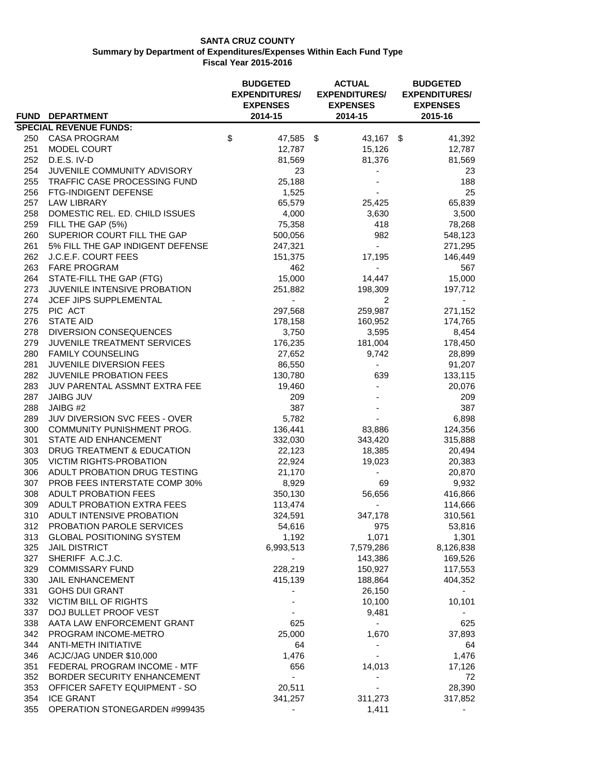|     |                                  |    | <b>BUDGETED</b><br><b>EXPENDITURES/</b> | <b>ACTUAL</b><br><b>EXPENDITURES/</b> | <b>BUDGETED</b><br><b>EXPENDITURES/</b> |                          |  |
|-----|----------------------------------|----|-----------------------------------------|---------------------------------------|-----------------------------------------|--------------------------|--|
|     |                                  |    | <b>EXPENSES</b>                         | <b>EXPENSES</b>                       |                                         | <b>EXPENSES</b>          |  |
|     | FUND DEPARTMENT                  |    | 2014-15                                 | 2014-15                               |                                         | 2015-16                  |  |
|     | <b>SPECIAL REVENUE FUNDS:</b>    |    |                                         |                                       |                                         |                          |  |
|     | 250 CASA PROGRAM                 | \$ | 47,585 \$                               | 43,167 \$                             |                                         | 41,392                   |  |
| 251 | <b>MODEL COURT</b>               |    | 12,787                                  | 15,126                                |                                         | 12,787                   |  |
| 252 | D.E.S. IV-D                      |    | 81,569                                  | 81,376                                |                                         | 81,569                   |  |
| 254 | JUVENILE COMMUNITY ADVISORY      |    | 23                                      |                                       |                                         | 23                       |  |
| 255 | TRAFFIC CASE PROCESSING FUND     |    | 25,188                                  |                                       |                                         | 188                      |  |
| 256 | FTG-INDIGENT DEFENSE             |    | 1,525                                   |                                       |                                         | 25                       |  |
| 257 | <b>LAW LIBRARY</b>               |    | 65,579                                  | 25,425                                |                                         | 65,839                   |  |
| 258 | DOMESTIC REL. ED. CHILD ISSUES   |    | 4,000                                   | 3,630                                 |                                         | 3,500                    |  |
| 259 | FILL THE GAP (5%)                |    | 75,358                                  | 418                                   |                                         | 78,268                   |  |
| 260 | SUPERIOR COURT FILL THE GAP      |    | 500,056                                 | 982                                   |                                         | 548,123                  |  |
| 261 | 5% FILL THE GAP INDIGENT DEFENSE |    | 247,321                                 | $\sim$                                |                                         | 271,295                  |  |
| 262 | J.C.E.F. COURT FEES              |    | 151,375                                 | 17,195                                |                                         | 146,449                  |  |
| 263 | <b>FARE PROGRAM</b>              |    | 462                                     | $\blacksquare$                        |                                         | 567                      |  |
| 264 | STATE-FILL THE GAP (FTG)         |    | 15,000                                  | 14,447                                |                                         | 15,000                   |  |
| 273 | JUVENILE INTENSIVE PROBATION     |    | 251,882                                 | 198,309                               |                                         | 197,712                  |  |
| 274 | JCEF JIPS SUPPLEMENTAL           |    |                                         | 2                                     |                                         |                          |  |
| 275 | PIC ACT                          |    | 297,568                                 | 259,987                               |                                         | 271,152                  |  |
| 276 | <b>STATE AID</b>                 |    | 178,158                                 | 160,952                               |                                         | 174,765                  |  |
| 278 | <b>DIVERSION CONSEQUENCES</b>    |    | 3,750                                   | 3,595                                 |                                         | 8,454                    |  |
| 279 | JUVENILE TREATMENT SERVICES      |    | 176,235                                 | 181,004                               |                                         | 178,450                  |  |
| 280 | <b>FAMILY COUNSELING</b>         |    | 27,652                                  | 9,742                                 |                                         | 28,899                   |  |
| 281 | JUVENILE DIVERSION FEES          |    | 86,550                                  | $\blacksquare$                        |                                         | 91,207                   |  |
| 282 | JUVENILE PROBATION FEES          |    | 130,780                                 | 639                                   |                                         | 133,115                  |  |
| 283 | JUV PARENTAL ASSMNT EXTRA FEE    |    | 19,460                                  | $\blacksquare$                        |                                         | 20,076                   |  |
| 287 | <b>JAIBG JUV</b>                 |    | 209                                     |                                       |                                         | 209                      |  |
| 288 | JAIBG #2                         |    | 387                                     |                                       |                                         | 387                      |  |
| 289 | JUV DIVERSION SVC FEES - OVER    |    | 5,782                                   |                                       |                                         | 6,898                    |  |
| 300 | COMMUNITY PUNISHMENT PROG.       |    | 136,441                                 | 83,886                                |                                         | 124,356                  |  |
| 301 | STATE AID ENHANCEMENT            |    | 332,030                                 | 343,420                               |                                         | 315,888                  |  |
| 303 | DRUG TREATMENT & EDUCATION       |    | 22,123                                  | 18,385                                |                                         | 20,494                   |  |
| 305 | VICTIM RIGHTS-PROBATION          |    | 22,924                                  | 19,023                                |                                         | 20,383                   |  |
| 306 | ADULT PROBATION DRUG TESTING     |    | 21,170                                  |                                       |                                         | 20,870                   |  |
| 307 | PROB FEES INTERSTATE COMP 30%    |    | 8,929                                   | 69                                    |                                         | 9,932                    |  |
| 308 | ADULT PROBATION FEES             |    | 350,130                                 | 56,656                                |                                         | 416,866                  |  |
| 309 | ADULT PROBATION EXTRA FEES       |    | 113,474                                 | $\blacksquare$                        |                                         | 114,666                  |  |
| 310 | ADULT INTENSIVE PROBATION        |    | 324,591                                 | 347,178                               |                                         | 310,561                  |  |
| 312 | PROBATION PAROLE SERVICES        |    | 54,616                                  | 975                                   |                                         | 53,816                   |  |
| 313 | <b>GLOBAL POSITIONING SYSTEM</b> |    | 1,192                                   | 1,071                                 |                                         | 1,301                    |  |
| 325 | <b>JAIL DISTRICT</b>             |    | 6,993,513                               | 7,579,286                             |                                         | 8,126,838                |  |
| 327 | SHERIFF A.C.J.C.                 |    | $\overline{\phantom{0}}$                | 143,386                               |                                         | 169,526                  |  |
| 329 | <b>COMMISSARY FUND</b>           |    | 228,219                                 | 150,927                               |                                         | 117,553                  |  |
| 330 | <b>JAIL ENHANCEMENT</b>          |    | 415,139                                 | 188,864                               |                                         | 404,352                  |  |
| 331 | <b>GOHS DUI GRANT</b>            |    |                                         | 26,150                                |                                         |                          |  |
| 332 | VICTIM BILL OF RIGHTS            |    |                                         | 10,100                                |                                         | 10,101                   |  |
| 337 | DOJ BULLET PROOF VEST            |    |                                         | 9,481                                 |                                         |                          |  |
| 338 | AATA LAW ENFORCEMENT GRANT       |    | 625                                     | $\overline{\phantom{0}}$              |                                         | 625                      |  |
| 342 | PROGRAM INCOME-METRO             |    | 25,000                                  | 1,670                                 |                                         | 37,893                   |  |
| 344 | ANTI-METH INITIATIVE             |    | 64                                      |                                       |                                         | 64                       |  |
| 346 | ACJC/JAG UNDER \$10,000          |    | 1,476                                   |                                       |                                         | 1,476                    |  |
| 351 | FEDERAL PROGRAM INCOME - MTF     |    | 656                                     | 14,013                                |                                         | 17,126                   |  |
| 352 | BORDER SECURITY ENHANCEMENT      |    | ÷,                                      |                                       |                                         | 72                       |  |
| 353 | OFFICER SAFETY EQUIPMENT - SO    |    | 20,511                                  |                                       |                                         | 28,390                   |  |
| 354 | <b>ICE GRANT</b>                 |    | 341,257                                 | 311,273                               |                                         | 317,852                  |  |
| 355 | OPERATION STONEGARDEN #999435    |    | $\overline{\phantom{a}}$                | 1,411                                 |                                         | $\overline{\phantom{a}}$ |  |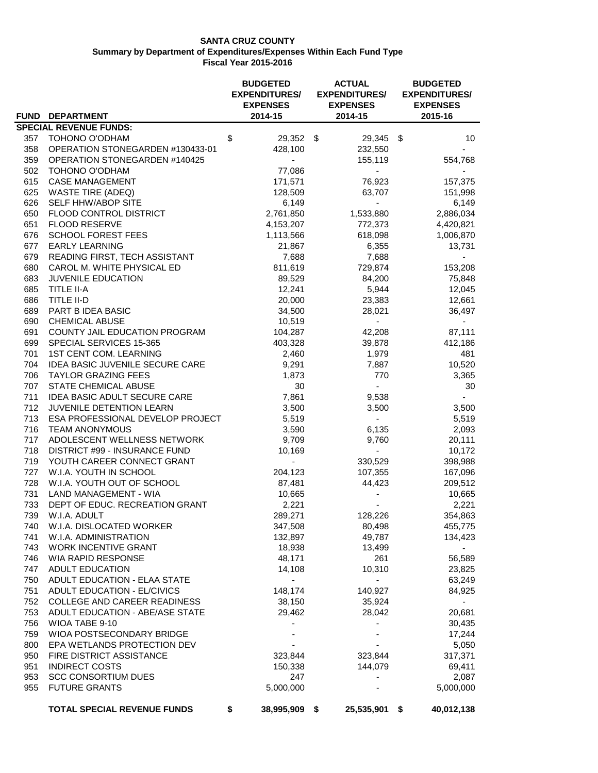|     |                                     | <b>BUDGETED</b><br><b>EXPENDITURES/</b> | <b>ACTUAL</b><br><b>EXPENDITURES/</b> | <b>BUDGETED</b><br><b>EXPENDITURES/</b> |
|-----|-------------------------------------|-----------------------------------------|---------------------------------------|-----------------------------------------|
|     |                                     | <b>EXPENSES</b>                         | <b>EXPENSES</b>                       | <b>EXPENSES</b>                         |
|     | FUND DEPARTMENT                     | 2014-15                                 | 2014-15                               | 2015-16                                 |
|     | <b>SPECIAL REVENUE FUNDS:</b>       |                                         |                                       |                                         |
| 357 | TOHONO O'ODHAM                      | \$<br>29,352 \$                         | 29,345 \$                             | 10                                      |
| 358 | OPERATION STONEGARDEN #130433-01    | 428,100                                 | 232,550                               |                                         |
| 359 | OPERATION STONEGARDEN #140425       |                                         | 155,119                               | 554,768                                 |
| 502 | TOHONO O'ODHAM                      | 77,086                                  | ÷.                                    |                                         |
| 615 | <b>CASE MANAGEMENT</b>              | 171,571                                 | 76,923                                | 157,375                                 |
| 625 | <b>WASTE TIRE (ADEQ)</b>            | 128,509                                 | 63,707                                | 151,998                                 |
| 626 | SELF HHW/ABOP SITE                  | 6,149                                   | $\blacksquare$                        | 6,149                                   |
| 650 | FLOOD CONTROL DISTRICT              | 2,761,850                               | 1,533,880                             | 2,886,034                               |
| 651 | <b>FLOOD RESERVE</b>                | 4,153,207                               | 772,373                               | 4,420,821                               |
| 676 | SCHOOL FOREST FEES                  | 1,113,566                               | 618,098                               | 1,006,870                               |
| 677 | <b>EARLY LEARNING</b>               | 21,867                                  | 6,355                                 | 13,731                                  |
| 679 | READING FIRST, TECH ASSISTANT       | 7,688                                   | 7,688                                 |                                         |
| 680 | CAROL M. WHITE PHYSICAL ED          | 811,619                                 | 729,874                               | 153,208                                 |
| 683 | JUVENILE EDUCATION                  | 89,529                                  | 84,200                                | 75,848                                  |
| 685 | TITLE II-A                          | 12,241                                  | 5,944                                 | 12,045                                  |
| 686 | TITLE II-D                          | 20,000                                  | 23,383                                | 12,661                                  |
| 689 | PART B IDEA BASIC                   | 34,500                                  | 28,021                                | 36,497                                  |
| 690 | CHEMICAL ABUSE                      | 10,519                                  | $\overline{a}$                        |                                         |
| 691 | COUNTY JAIL EDUCATION PROGRAM       | 104,287                                 | 42,208                                | 87,111                                  |
| 699 | SPECIAL SERVICES 15-365             | 403,328                                 | 39,878                                | 412,186                                 |
| 701 | 1ST CENT COM. LEARNING              | 2,460                                   | 1,979                                 | 481                                     |
| 704 | IDEA BASIC JUVENILE SECURE CARE     | 9,291                                   | 7,887                                 | 10,520                                  |
| 706 | <b>TAYLOR GRAZING FEES</b>          | 1,873                                   | 770                                   | 3,365                                   |
| 707 | STATE CHEMICAL ABUSE                | 30                                      | $\sim$                                | 30                                      |
| 711 | <b>IDEA BASIC ADULT SECURE CARE</b> | 7,861                                   | 9,538                                 | $\sim$                                  |
| 712 | JUVENILE DETENTION LEARN            | 3,500                                   | 3,500                                 | 3,500                                   |
| 713 | ESA PROFESSIONAL DEVELOP PROJECT    | 5,519                                   | $\sim$                                | 5,519                                   |
| 716 | <b>TEAM ANONYMOUS</b>               | 3,590                                   | 6,135                                 | 2,093                                   |
| 717 | ADOLESCENT WELLNESS NETWORK         | 9,709                                   | 9,760                                 | 20,111                                  |
| 718 | DISTRICT #99 - INSURANCE FUND       | 10,169                                  |                                       | 10,172                                  |
| 719 | YOUTH CAREER CONNECT GRANT          | $\mathbf{r}$                            | 330,529                               | 398,988                                 |
| 727 | W.I.A. YOUTH IN SCHOOL              | 204,123                                 | 107,355                               | 167,096                                 |
| 728 | W.I.A. YOUTH OUT OF SCHOOL          | 87,481                                  | 44,423                                | 209,512                                 |
| 731 | LAND MANAGEMENT - WIA               | 10,665                                  |                                       | 10,665                                  |
| 733 | DEPT OF EDUC. RECREATION GRANT      | 2,221                                   |                                       | 2,221                                   |
| 739 | W.I.A. ADULT                        | 289,271                                 | 128,226                               | 354,863                                 |
| 740 | W.I.A. DISLOCATED WORKER            | 347,508                                 | 80,498                                | 455,775                                 |
| 741 | W.I.A. ADMINISTRATION               | 132,897                                 | 49,787                                | 134,423                                 |
| 743 | <b>WORK INCENTIVE GRANT</b>         | 18,938                                  | 13,499                                | $\sim$                                  |
| 746 | WIA RAPID RESPONSE                  | 48,171                                  | 261                                   | 56,589                                  |
| 747 | ADULT EDUCATION                     | 14,108                                  | 10,310                                | 23,825                                  |
| 750 | ADULT EDUCATION - ELAA STATE        |                                         | $\sim$                                | 63,249                                  |
| 751 | ADULT EDUCATION - EL/CIVICS         | 148,174                                 | 140,927                               | 84,925                                  |
| 752 | COLLEGE AND CAREER READINESS        | 38,150                                  | 35,924                                | $\sim$                                  |
| 753 | ADULT EDUCATION - ABE/ASE STATE     | 29,462                                  | 28,042                                | 20,681                                  |
| 756 | WIOA TABE 9-10                      |                                         |                                       | 30,435                                  |
| 759 | WIOA POSTSECONDARY BRIDGE           | ٠                                       | $\overline{\phantom{a}}$              | 17,244                                  |
| 800 | EPA WETLANDS PROTECTION DEV         |                                         |                                       | 5,050                                   |
| 950 | FIRE DISTRICT ASSISTANCE            | 323,844                                 | 323,844                               | 317,371                                 |
| 951 | <b>INDIRECT COSTS</b>               | 150,338                                 | 144,079                               | 69,411                                  |
| 953 | <b>SCC CONSORTIUM DUES</b>          | 247                                     |                                       | 2,087                                   |
| 955 | <b>FUTURE GRANTS</b>                | 5,000,000                               |                                       | 5,000,000                               |
|     | <b>TOTAL SPECIAL REVENUE FUNDS</b>  | \$<br>38,995,909 \$                     | 25,535,901 \$                         | 40,012,138                              |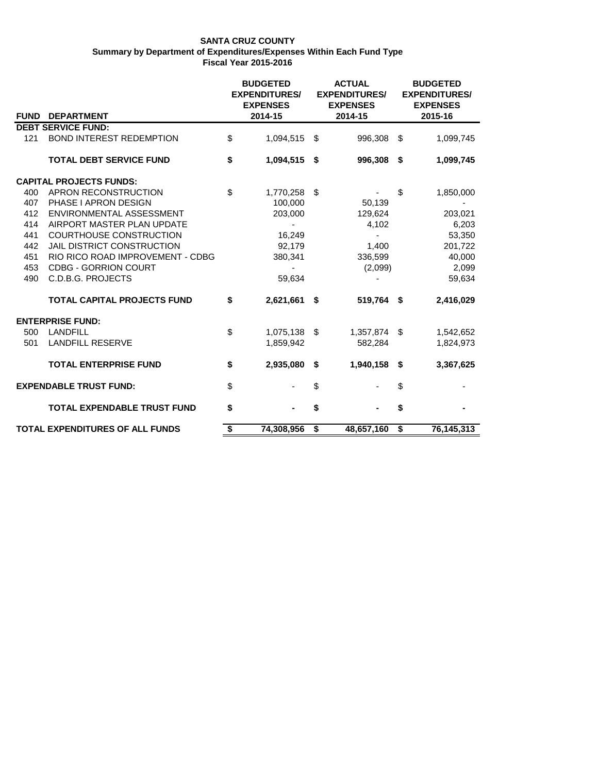|             |                                        | <b>BUDGETED</b><br><b>EXPENDITURES/</b> |      | <b>ACTUAL</b><br><b>EXPENDITURES/</b> |     | <b>BUDGETED</b><br><b>EXPENDITURES/</b> |
|-------------|----------------------------------------|-----------------------------------------|------|---------------------------------------|-----|-----------------------------------------|
| <b>FUND</b> | <b>DEPARTMENT</b>                      | <b>EXPENSES</b><br>2014-15              |      | <b>EXPENSES</b><br>2014-15            |     | <b>EXPENSES</b><br>2015-16              |
|             | <b>DEBT SERVICE FUND:</b>              |                                         |      |                                       |     |                                         |
| 121         | <b>BOND INTEREST REDEMPTION</b>        | \$<br>1,094,515                         | - \$ | 996,308                               | -\$ | 1,099,745                               |
|             | <b>TOTAL DEBT SERVICE FUND</b>         | \$<br>1,094,515                         | - \$ | 996,308 \$                            |     | 1,099,745                               |
|             | <b>CAPITAL PROJECTS FUNDS:</b>         |                                         |      |                                       |     |                                         |
| 400         | APRON RECONSTRUCTION                   | \$<br>1,770,258                         | \$   |                                       | \$  | 1,850,000                               |
| 407         | PHASE I APRON DESIGN                   | 100,000                                 |      | 50,139                                |     |                                         |
| 412         | ENVIRONMENTAL ASSESSMENT               | 203,000                                 |      | 129,624                               |     | 203,021                                 |
| 414         | AIRPORT MASTER PLAN UPDATE             | $\blacksquare$                          |      | 4,102                                 |     | 6,203                                   |
| 441         | COURTHOUSE CONSTRUCTION                | 16,249                                  |      |                                       |     | 53,350                                  |
| 442         | <b>JAIL DISTRICT CONSTRUCTION</b>      | 92,179                                  |      | 1,400                                 |     | 201,722                                 |
| 451         | RIO RICO ROAD IMPROVEMENT - CDBG       | 380,341                                 |      | 336,599                               |     | 40,000                                  |
| 453         | <b>CDBG - GORRION COURT</b>            |                                         |      | (2,099)                               |     | 2,099                                   |
| 490         | C.D.B.G. PROJECTS                      | 59,634                                  |      |                                       |     | 59,634                                  |
|             | <b>TOTAL CAPITAL PROJECTS FUND</b>     | \$<br>2,621,661                         | - \$ | 519,764 \$                            |     | 2,416,029                               |
|             | <b>ENTERPRISE FUND:</b>                |                                         |      |                                       |     |                                         |
| 500         | <b>LANDFILL</b>                        | \$<br>1,075,138                         | - \$ | 1,357,874 \$                          |     | 1,542,652                               |
| 501         | <b>LANDFILL RESERVE</b>                | 1,859,942                               |      | 582,284                               |     | 1,824,973                               |
|             | <b>TOTAL ENTERPRISE FUND</b>           | \$<br>2,935,080                         | \$   | 1,940,158                             | \$  | 3,367,625                               |
|             | <b>EXPENDABLE TRUST FUND:</b>          | \$                                      | \$   |                                       | \$  |                                         |
|             | <b>TOTAL EXPENDABLE TRUST FUND</b>     | \$                                      | \$   | $\blacksquare$                        | \$  |                                         |
|             | <b>TOTAL EXPENDITURES OF ALL FUNDS</b> | \$<br>74,308,956                        | \$   | 48,657,160                            | \$  | 76,145,313                              |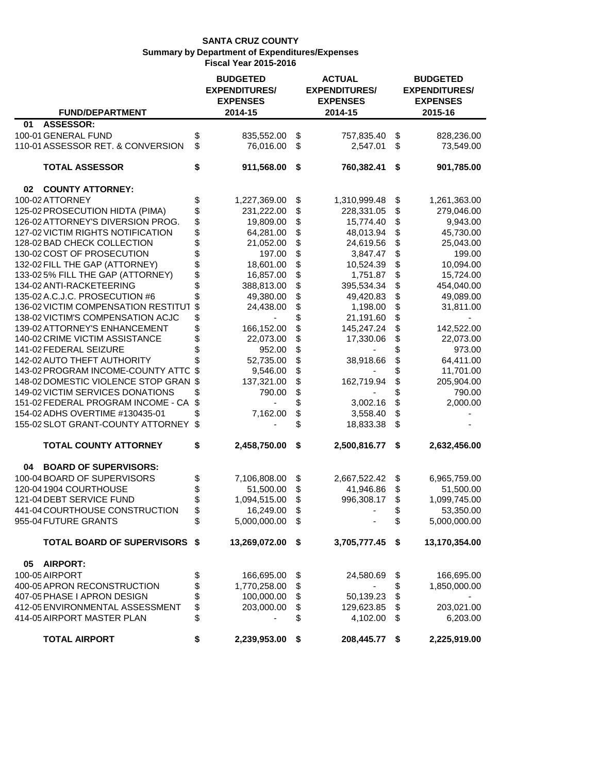| <b>FUND/DEPARTMENT</b>                | <b>BUDGETED</b><br><b>EXPENDITURES/</b><br><b>EXPENSES</b><br>2014-15 | <b>ACTUAL</b><br><b>EXPENDITURES/</b><br><b>EXPENSES</b><br>2014-15 | <b>BUDGETED</b><br><b>EXPENDITURES/</b><br><b>EXPENSES</b><br>2015-16 |
|---------------------------------------|-----------------------------------------------------------------------|---------------------------------------------------------------------|-----------------------------------------------------------------------|
| <b>ASSESSOR:</b><br>01                |                                                                       |                                                                     |                                                                       |
| 100-01 GENERAL FUND                   | \$<br>835,552.00                                                      | \$<br>757,835.40                                                    | \$<br>828,236.00                                                      |
| 110-01 ASSESSOR RET. & CONVERSION     | \$<br>76,016.00                                                       | \$<br>2,547.01                                                      | \$<br>73,549.00                                                       |
| <b>TOTAL ASSESSOR</b>                 | \$<br>911,568.00                                                      | \$<br>760,382.41                                                    | \$<br>901,785.00                                                      |
| <b>COUNTY ATTORNEY:</b><br>02         |                                                                       |                                                                     |                                                                       |
| 100-02 ATTORNEY                       | \$<br>1,227,369.00                                                    | \$<br>1,310,999.48                                                  | \$<br>1,261,363.00                                                    |
| 125-02 PROSECUTION HIDTA (PIMA)       | \$<br>231,222.00                                                      | \$<br>228,331.05                                                    | \$<br>279,046.00                                                      |
| 126-02 ATTORNEY'S DIVERSION PROG.     | \$<br>19,809.00                                                       | \$<br>15,774.40                                                     | \$<br>9,943.00                                                        |
| 127-02 VICTIM RIGHTS NOTIFICATION     | \$<br>64,281.00                                                       | \$<br>48,013.94                                                     | \$<br>45,730.00                                                       |
| 128-02 BAD CHECK COLLECTION           | \$<br>21,052.00                                                       | \$<br>24,619.56                                                     | \$<br>25,043.00                                                       |
| 130-02 COST OF PROSECUTION            | \$<br>197.00                                                          | \$<br>3,847.47                                                      | \$<br>199.00                                                          |
| 132-02 FILL THE GAP (ATTORNEY)        | \$<br>18,601.00                                                       | \$<br>10,524.39                                                     | \$<br>10,094.00                                                       |
| 133-02 5% FILL THE GAP (ATTORNEY)     | \$<br>16,857.00                                                       | \$<br>1,751.87                                                      | \$<br>15,724.00                                                       |
| 134-02 ANTI-RACKETEERING              | \$<br>388,813.00                                                      | \$<br>395,534.34                                                    | \$<br>454,040.00                                                      |
| 135-02 A.C.J.C. PROSECUTION #6        | 49,380.00                                                             | \$<br>49,420.83                                                     | \$<br>49,089.00                                                       |
| 136-02 VICTIM COMPENSATION RESTITUT   | \$<br>24,438.00                                                       | \$<br>1,198.00                                                      | \$<br>31,811.00                                                       |
| 138-02 VICTIM'S COMPENSATION ACJC     | \$                                                                    | \$<br>21,191.60                                                     | \$                                                                    |
| 139-02 ATTORNEY'S ENHANCEMENT         | \$<br>166,152.00                                                      | \$<br>145,247.24                                                    | \$<br>142,522.00                                                      |
| 140-02 CRIME VICTIM ASSISTANCE        | \$<br>22,073.00                                                       | \$<br>17,330.06                                                     | \$<br>22,073.00                                                       |
| 141-02 FEDERAL SEIZURE                | \$<br>952.00                                                          | \$                                                                  | \$<br>973.00                                                          |
| 142-02 AUTO THEFT AUTHORITY           | 52,735.00                                                             | \$<br>38,918.66                                                     | \$<br>64,411.00                                                       |
| 143-02 PROGRAM INCOME-COUNTY ATTC     | \$<br>9,546.00                                                        | \$                                                                  | \$<br>11,701.00                                                       |
| 148-02 DOMESTIC VIOLENCE STOP GRAN \$ | 137,321.00                                                            | \$<br>162,719.94                                                    | \$<br>205,904.00                                                      |
| 149-02 VICTIM SERVICES DONATIONS      | \$<br>790.00                                                          | \$                                                                  | \$<br>790.00                                                          |
| 151-02 FEDERAL PROGRAM INCOME - CA    | \$                                                                    | \$<br>3,002.16                                                      | \$<br>2,000.00                                                        |
| 154-02 ADHS OVERTIME #130435-01       | \$<br>7,162.00                                                        | \$<br>3,558.40                                                      | \$                                                                    |
| 155-02 SLOT GRANT-COUNTY ATTORNEY     | \$                                                                    | \$<br>18,833.38                                                     | \$                                                                    |
| <b>TOTAL COUNTY ATTORNEY</b>          | \$<br>2,458,750.00                                                    | \$<br>2,500,816.77 \$                                               | 2,632,456.00                                                          |
| <b>BOARD OF SUPERVISORS:</b><br>04    |                                                                       |                                                                     |                                                                       |
| 100-04 BOARD OF SUPERVISORS           | \$<br>7,106,808.00                                                    | \$<br>2,667,522.42                                                  | \$<br>6,965,759.00                                                    |
| 120-04 1904 COURTHOUSE                | \$<br>51,500.00                                                       | \$<br>41,946.86                                                     | \$<br>51,500.00                                                       |
| 121-04 DEBT SERVICE FUND              | \$<br>1,094,515.00                                                    | \$<br>996,308.17                                                    | \$<br>1,099,745.00                                                    |
| 441-04 COURTHOUSE CONSTRUCTION        | \$<br>16,249.00                                                       | \$                                                                  | \$<br>53,350.00                                                       |
| 955-04 FUTURE GRANTS                  | \$<br>5,000,000.00                                                    | \$                                                                  | \$<br>5,000,000.00                                                    |
| <b>TOTAL BOARD OF SUPERVISORS \$</b>  | 13,269,072.00                                                         | \$<br>3,705,777.45                                                  | \$<br>13,170,354.00                                                   |
| 05<br><b>AIRPORT:</b>                 |                                                                       |                                                                     |                                                                       |
| 100-05 AIRPORT                        | \$<br>166,695.00                                                      | \$<br>24,580.69                                                     | \$<br>166,695.00                                                      |
| 400-05 APRON RECONSTRUCTION           | \$<br>1,770,258.00                                                    | \$                                                                  | \$<br>1,850,000.00                                                    |
| 407-05 PHASE I APRON DESIGN           | \$<br>100,000.00                                                      | \$<br>50,139.23                                                     | \$                                                                    |
| 412-05 ENVIRONMENTAL ASSESSMENT       | \$<br>203,000.00                                                      | \$<br>129,623.85                                                    | \$<br>203,021.00                                                      |
| 414-05 AIRPORT MASTER PLAN            | \$                                                                    | \$<br>4,102.00                                                      | \$<br>6,203.00                                                        |
| <b>TOTAL AIRPORT</b>                  | \$<br>2,239,953.00                                                    | \$<br>208,445.77 \$                                                 | 2,225,919.00                                                          |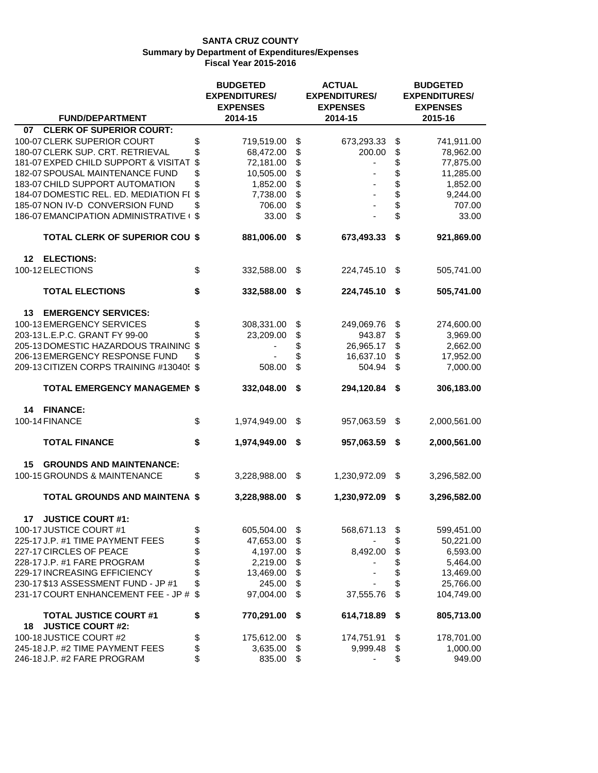|                                                                 |          | <b>BUDGETED</b>            |          | <b>ACTUAL</b>              |                      | <b>BUDGETED</b>            |  |  |
|-----------------------------------------------------------------|----------|----------------------------|----------|----------------------------|----------------------|----------------------------|--|--|
|                                                                 |          | <b>EXPENDITURES/</b>       |          | <b>EXPENDITURES/</b>       | <b>EXPENDITURES/</b> |                            |  |  |
| <b>FUND/DEPARTMENT</b>                                          |          | <b>EXPENSES</b><br>2014-15 |          | <b>EXPENSES</b><br>2014-15 |                      | <b>EXPENSES</b><br>2015-16 |  |  |
| <b>CLERK OF SUPERIOR COURT:</b><br>07                           |          |                            |          |                            |                      |                            |  |  |
| 100-07 CLERK SUPERIOR COURT                                     |          |                            |          |                            |                      |                            |  |  |
| 180-07 CLERK SUP. CRT. RETRIEVAL                                | \$<br>\$ | 719,519.00<br>68,472.00    | \$<br>\$ | 673,293.33<br>200.00       | \$<br>\$             | 741,911.00<br>78,962.00    |  |  |
| 181-07 EXPED CHILD SUPPORT & VISITAT                            | \$       | 72,181.00                  | \$       |                            | \$                   | 77,875.00                  |  |  |
| 182-07 SPOUSAL MAINTENANCE FUND                                 | \$       | 10,505.00                  | \$       |                            | \$                   | 11,285.00                  |  |  |
| 183-07 CHILD SUPPORT AUTOMATION                                 | \$       | 1,852.00                   | \$       |                            | \$                   | 1,852.00                   |  |  |
| 184-07 DOMESTIC REL. ED. MEDIATION FI \$                        |          | 7,738.00                   | \$       |                            | \$                   | 9,244.00                   |  |  |
| 185-07 NON IV-D CONVERSION FUND                                 | \$       | 706.00                     | \$       |                            | \$                   | 707.00                     |  |  |
| 186-07 EMANCIPATION ADMINISTRATIVE (\$                          |          | 33.00                      | \$       |                            | \$                   | 33.00                      |  |  |
| <b>TOTAL CLERK OF SUPERIOR COU \$</b>                           |          | 881,006.00                 | \$       | 673,493.33                 | \$                   | 921,869.00                 |  |  |
| <b>ELECTIONS:</b><br>12                                         |          |                            |          |                            |                      |                            |  |  |
| 100-12 ELECTIONS                                                | \$       | 332,588.00                 | \$       | 224,745.10                 | - \$                 | 505,741.00                 |  |  |
| <b>TOTAL ELECTIONS</b>                                          | \$       | 332,588.00                 | \$       | 224,745.10 \$              |                      | 505,741.00                 |  |  |
| 13<br><b>EMERGENCY SERVICES:</b>                                |          |                            |          |                            |                      |                            |  |  |
| 100-13 EMERGENCY SERVICES                                       | \$       | 308,331.00                 | \$       | 249,069.76                 | \$                   | 274,600.00                 |  |  |
| 203-13 L.E.P.C. GRANT FY 99-00                                  | \$       | 23,209.00                  | \$       | 943.87                     | \$                   | 3,969.00                   |  |  |
| 205-13 DOMESTIC HAZARDOUS TRAINING                              | \$       |                            | \$       | 26,965.17                  | \$                   | 2,662.00                   |  |  |
| 206-13 EMERGENCY RESPONSE FUND                                  | \$       |                            | \$       | 16,637.10                  | \$                   | 17,952.00                  |  |  |
| 209-13 CITIZEN CORPS TRAINING #130405 \$                        |          | 508.00                     | \$       | 504.94                     | \$                   | 7,000.00                   |  |  |
| <b>TOTAL EMERGENCY MANAGEMEN \$</b>                             |          | 332,048.00                 | \$       | 294,120.84                 | \$                   | 306,183.00                 |  |  |
| <b>FINANCE:</b><br>14                                           |          |                            |          |                            |                      |                            |  |  |
| 100-14 FINANCE                                                  | \$       | 1,974,949.00               | \$       | 957,063.59                 | \$                   | 2,000,561.00               |  |  |
| <b>TOTAL FINANCE</b>                                            | \$       | 1,974,949.00               | \$       | 957,063.59                 | \$                   | 2,000,561.00               |  |  |
| <b>GROUNDS AND MAINTENANCE:</b><br>15                           |          |                            |          |                            |                      |                            |  |  |
| 100-15 GROUNDS & MAINTENANCE                                    | \$       | 3,228,988.00               | \$       | 1,230,972.09               | \$                   | 3,296,582.00               |  |  |
| <b>TOTAL GROUNDS AND MAINTENA \$</b>                            |          | 3,228,988.00               | \$       | 1,230,972.09               | \$                   | 3,296,582.00               |  |  |
| <b>JUSTICE COURT #1:</b><br>17                                  |          |                            |          |                            |                      |                            |  |  |
| 100-17 JUSTICE COURT #1                                         | \$       | 605,504.00                 | \$       | 568,671.13                 | \$                   | 599,451.00                 |  |  |
| 225-17 J.P. #1 TIME PAYMENT FEES                                | \$<br>\$ | 47,653.00                  | \$       |                            | \$                   | 50,221.00                  |  |  |
| 227-17 CIRCLES OF PEACE                                         |          | 4,197.00                   | \$       | 8,492.00                   | \$                   | 6,593.00                   |  |  |
| 228-17 J.P. #1 FARE PROGRAM                                     |          | 2,219.00                   | \$       |                            | \$                   | 5,464.00                   |  |  |
| 229-17 INCREASING EFFICIENCY                                    | \$       | 13,469.00                  | \$       |                            | \$                   | 13,469.00                  |  |  |
| 230-17 \$13 ASSESSMENT FUND - JP #1                             | \$       | 245.00                     | \$       |                            | \$                   | 25,766.00                  |  |  |
| 231-17 COURT ENHANCEMENT FEE - JP #                             | \$       | 97,004.00                  | \$       | 37,555.76                  | \$                   | 104,749.00                 |  |  |
| <b>TOTAL JUSTICE COURT #1</b><br><b>JUSTICE COURT #2:</b><br>18 | \$       | 770,291.00                 | \$       | 614,718.89                 | \$                   | 805,713.00                 |  |  |
| 100-18 JUSTICE COURT #2                                         | \$       | 175,612.00                 | \$       | 174,751.91                 | \$                   | 178,701.00                 |  |  |
| 245-18 J.P. #2 TIME PAYMENT FEES                                | \$       | 3,635.00                   | \$       | 9,999.48                   | \$                   | 1,000.00                   |  |  |
| 246-18 J.P. #2 FARE PROGRAM                                     | \$       | 835.00                     | \$       |                            | \$                   | 949.00                     |  |  |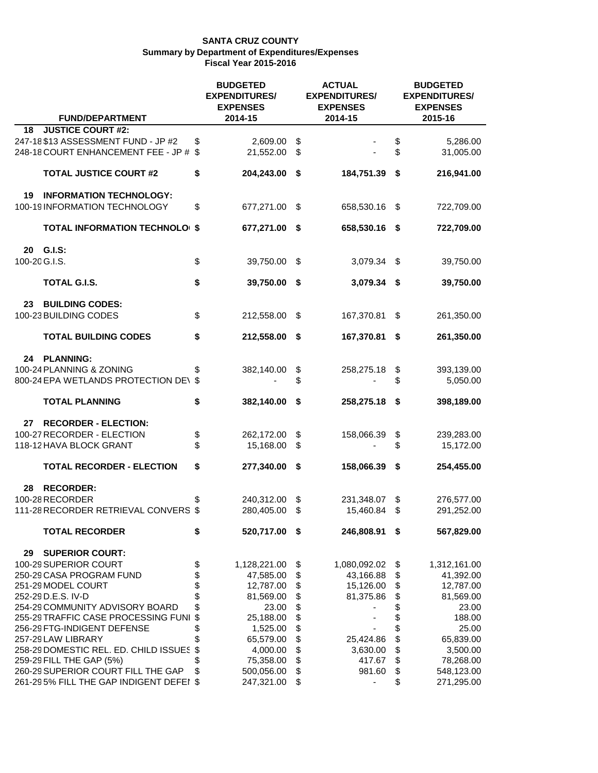| <b>FUND/DEPARTMENT</b>                                                     |                           | <b>BUDGETED</b><br><b>EXPENDITURES/</b><br><b>EXPENSES</b><br>2014-15 |          | <b>ACTUAL</b><br><b>EXPENDITURES/</b><br><b>EXPENSES</b><br>2014-15 |          | <b>BUDGETED</b><br><b>EXPENDITURES/</b><br><b>EXPENSES</b><br>2015-16 |
|----------------------------------------------------------------------------|---------------------------|-----------------------------------------------------------------------|----------|---------------------------------------------------------------------|----------|-----------------------------------------------------------------------|
| <b>JUSTICE COURT #2:</b><br>18                                             |                           |                                                                       |          |                                                                     |          |                                                                       |
| 247-18 \$13 ASSESSMENT FUND - JP #2<br>248-18 COURT ENHANCEMENT FEE - JP # | \$<br>\$                  | 2,609.00<br>21,552.00                                                 | \$<br>\$ |                                                                     | \$<br>\$ | 5,286.00<br>31,005.00                                                 |
|                                                                            |                           |                                                                       |          |                                                                     |          |                                                                       |
| <b>TOTAL JUSTICE COURT #2</b>                                              | \$                        | 204,243.00                                                            | \$       | 184,751.39                                                          | \$       | 216,941.00                                                            |
| 19<br><b>INFORMATION TECHNOLOGY:</b>                                       |                           |                                                                       |          |                                                                     |          |                                                                       |
| 100-19 INFORMATION TECHNOLOGY                                              | \$                        | 677,271.00                                                            | \$       | 658,530.16                                                          | \$       | 722,709.00                                                            |
| <b>TOTAL INFORMATION TECHNOLOI \$</b>                                      |                           | 677,271.00                                                            | \$       | 658,530.16                                                          | -S       | 722,709.00                                                            |
| <b>G.I.S:</b><br>20                                                        |                           |                                                                       |          |                                                                     |          |                                                                       |
| 100-20 G.I.S.                                                              | \$                        | 39,750.00                                                             | \$       | 3,079.34                                                            | \$       | 39,750.00                                                             |
| TOTAL G.I.S.                                                               | \$                        | 39,750.00                                                             | \$       | 3,079.34                                                            | S.       | 39,750.00                                                             |
| <b>BUILDING CODES:</b><br>23                                               |                           |                                                                       |          |                                                                     |          |                                                                       |
| 100-23 BUILDING CODES                                                      | \$                        | 212,558.00                                                            | \$       | 167,370.81                                                          | \$       | 261,350.00                                                            |
| <b>TOTAL BUILDING CODES</b>                                                | \$                        | 212,558.00                                                            | \$       | 167,370.81                                                          | \$       | 261,350.00                                                            |
| <b>PLANNING:</b><br>24                                                     |                           |                                                                       |          |                                                                     |          |                                                                       |
| 100-24 PLANNING & ZONING                                                   | \$                        | 382,140.00                                                            | \$       | 258,275.18                                                          | \$       | 393,139.00                                                            |
| 800-24 EPA WETLANDS PROTECTION DE\ \$                                      |                           |                                                                       | \$       |                                                                     | \$       | 5,050.00                                                              |
| <b>TOTAL PLANNING</b>                                                      | \$                        | 382,140.00                                                            | \$       | 258,275.18                                                          | \$       | 398,189.00                                                            |
| <b>RECORDER - ELECTION:</b><br>27                                          |                           |                                                                       |          |                                                                     |          |                                                                       |
| 100-27 RECORDER - ELECTION                                                 | \$                        | 262,172.00                                                            | \$       | 158,066.39                                                          | \$       | 239,283.00                                                            |
| 118-12 HAVA BLOCK GRANT                                                    | \$                        | 15,168.00                                                             | \$       |                                                                     | \$       | 15,172.00                                                             |
| <b>TOTAL RECORDER - ELECTION</b>                                           | \$                        | 277,340.00                                                            | \$       | 158,066.39                                                          | \$       | 254,455.00                                                            |
| <b>RECORDER:</b><br>28                                                     |                           |                                                                       |          |                                                                     |          |                                                                       |
| 100-28 RECORDER                                                            | \$                        | 240,312.00                                                            | \$       | 231,348.07                                                          | \$       | 276,577.00                                                            |
| 111-28 RECORDER RETRIEVAL CONVERS \$                                       |                           | 280,405.00                                                            | \$       | 15,460.84                                                           | \$       | 291,252.00                                                            |
| <b>TOTAL RECORDER</b>                                                      | \$                        | 520,717.00                                                            | \$       | 246,808.91                                                          | \$       | 567,829.00                                                            |
| <b>SUPERIOR COURT:</b><br>29                                               |                           |                                                                       |          |                                                                     |          |                                                                       |
| 100-29 SUPERIOR COURT                                                      | \$                        | 1,128,221.00                                                          | \$       | 1,080,092.02                                                        | \$       | 1,312,161.00                                                          |
| 250-29 CASA PROGRAM FUND                                                   | \$                        | 47,585.00                                                             | \$       | 43,166.88                                                           | \$       | 41,392.00                                                             |
| 251-29 MODEL COURT                                                         | \$                        | 12,787.00                                                             | \$       | 15,126.00                                                           | \$       | 12,787.00                                                             |
| 252-29 D.E.S. IV-D                                                         | \$                        | 81,569.00                                                             | \$       | 81,375.86                                                           | \$       | 81,569.00                                                             |
| 254-29 COMMUNITY ADVISORY BOARD                                            | \$                        | 23.00                                                                 | \$       |                                                                     | \$       | 23.00                                                                 |
| 255-29 TRAFFIC CASE PROCESSING FUNI                                        | $\boldsymbol{\mathsf{S}}$ | 25,188.00                                                             | \$       |                                                                     | \$       | 188.00                                                                |
| 256-29 FTG-INDIGENT DEFENSE                                                | \$                        | 1,525.00                                                              | \$       |                                                                     | \$       | 25.00                                                                 |
| 257-29 LAW LIBRARY                                                         |                           | 65,579.00                                                             | \$       | 25,424.86                                                           | \$       | 65,839.00                                                             |
| 258-29 DOMESTIC REL. ED. CHILD ISSUES                                      | \$                        | 4,000.00                                                              | \$       | 3,630.00                                                            | \$       | 3,500.00                                                              |
| 259-29 FILL THE GAP (5%)<br>260-29 SUPERIOR COURT FILL THE GAP             | \$                        | 75,358.00                                                             | \$       | 417.67                                                              | \$       | 78,268.00                                                             |
| 261-295% FILL THE GAP INDIGENT DEFEI \$                                    | \$                        | 500,056.00<br>247,321.00                                              | \$<br>\$ | 981.60                                                              | \$<br>\$ | 548,123.00<br>271,295.00                                              |
|                                                                            |                           |                                                                       |          |                                                                     |          |                                                                       |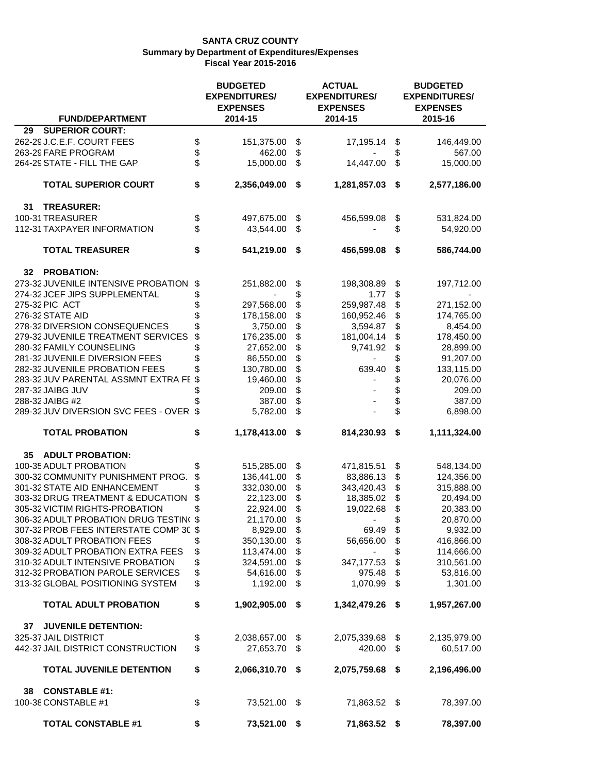|                                                            |          | <b>BUDGETED</b><br><b>EXPENDITURES/</b><br><b>EXPENSES</b> |          | <b>ACTUAL</b><br><b>EXPENDITURES/</b><br><b>EXPENSES</b> |          | <b>BUDGETED</b><br><b>EXPENDITURES/</b><br><b>EXPENSES</b><br>2015-16 |
|------------------------------------------------------------|----------|------------------------------------------------------------|----------|----------------------------------------------------------|----------|-----------------------------------------------------------------------|
| <b>FUND/DEPARTMENT</b>                                     |          | 2014-15                                                    |          | 2014-15                                                  |          |                                                                       |
| <b>SUPERIOR COURT:</b><br>29<br>262-29 J.C.E.F. COURT FEES |          |                                                            |          |                                                          |          |                                                                       |
| 263-29 FARE PROGRAM                                        | \$<br>\$ | 151,375.00<br>462.00                                       | \$<br>\$ | 17,195.14                                                | \$<br>\$ | 146,449.00<br>567.00                                                  |
| 264-29 STATE - FILL THE GAP                                | \$       | 15,000.00                                                  | \$       | 14,447.00                                                | \$       | 15,000.00                                                             |
|                                                            |          |                                                            |          |                                                          |          |                                                                       |
| <b>TOTAL SUPERIOR COURT</b>                                | \$       | 2,356,049.00                                               | \$       | 1,281,857.03                                             | \$       | 2,577,186.00                                                          |
| 31<br><b>TREASURER:</b>                                    |          |                                                            |          |                                                          |          |                                                                       |
| 100-31 TREASURER                                           | \$       | 497,675.00                                                 | \$       | 456,599.08                                               | \$       | 531,824.00                                                            |
| 112-31 TAXPAYER INFORMATION                                | \$       | 43,544.00                                                  | \$       |                                                          | \$       | 54,920.00                                                             |
| <b>TOTAL TREASURER</b>                                     | \$       | 541,219.00                                                 | \$       | 456,599.08                                               | \$       | 586,744.00                                                            |
| <b>PROBATION:</b><br>32                                    |          |                                                            |          |                                                          |          |                                                                       |
| 273-32 JUVENILE INTENSIVE PROBATION                        | \$       | 251,882.00                                                 | \$       | 198,308.89                                               | \$       | 197,712.00                                                            |
| 274-32 JCEF JIPS SUPPLEMENTAL                              | \$       |                                                            | \$       | 1.77                                                     | \$       |                                                                       |
| 275-32 PIC ACT                                             | \$       | 297,568.00                                                 | \$       | 259,987.48                                               |          | 271,152.00                                                            |
| 276-32 STATE AID                                           | \$       | 178,158.00                                                 | \$       | 160,952.46                                               | \$       | 174,765.00                                                            |
| 278-32 DIVERSION CONSEQUENCES                              |          | 3,750.00                                                   | \$       | 3,594.87                                                 | \$       | 8,454.00                                                              |
| 279-32 JUVENILE TREATMENT SERVICES                         | \$       | 176,235.00                                                 | \$       | 181,004.14                                               | \$       | 178,450.00                                                            |
| 280-32 FAMILY COUNSELING                                   |          | 27,652.00                                                  | \$       | 9,741.92                                                 | \$       | 28,899.00                                                             |
| 281-32 JUVENILE DIVERSION FEES                             |          | 86,550.00                                                  | \$       |                                                          |          | 91,207.00                                                             |
| 282-32 JUVENILE PROBATION FEES                             |          | 130,780.00                                                 | \$       | 639.40                                                   | \$       | 133,115.00                                                            |
| 283-32 JUV PARENTAL ASSMNT EXTRA FE                        | -\$      | 19,460.00                                                  | \$       |                                                          | \$       | 20,076.00                                                             |
| 287-32 JAIBG JUV                                           |          | 209.00                                                     | \$       |                                                          | \$       | 209.00                                                                |
| 288-32 JAIBG #2                                            |          | 387.00                                                     | \$       |                                                          | \$       | 387.00                                                                |
| 289-32 JUV DIVERSION SVC FEES - OVER                       | \$       | 5,782.00                                                   | \$       |                                                          | \$       | 6,898.00                                                              |
| <b>TOTAL PROBATION</b>                                     | \$       | 1,178,413.00                                               | \$       | 814,230.93                                               | \$       | 1,111,324.00                                                          |
| <b>ADULT PROBATION:</b><br>35                              |          |                                                            |          |                                                          |          |                                                                       |
| 100-35 ADULT PROBATION                                     | \$       | 515,285.00                                                 | \$       | 471,815.51                                               | \$       | 548,134.00                                                            |
| 300-32 COMMUNITY PUNISHMENT PROG.                          | \$       | 136,441.00                                                 | \$       | 83,886.13                                                | \$       | 124,356.00                                                            |
| 301-32 STATE AID ENHANCEMENT                               |          | 332,030.00                                                 | \$       | 343,420.43                                               | \$       | 315,888.00                                                            |
| 303-32 DRUG TREATMENT & EDUCATION                          | \$       | 22,123.00                                                  | \$       | 18,385.02                                                | \$       | 20,494.00                                                             |
| 305-32 VICTIM RIGHTS-PROBATION                             | \$       | 22,924.00                                                  | \$       | 19,022.68                                                | \$       | 20,383.00                                                             |
| 306-32 ADULT PROBATION DRUG TESTIN(\$                      |          | 21,170.00                                                  | \$       |                                                          | \$       | 20,870.00                                                             |
| 307-32 PROB FEES INTERSTATE COMP 30 \$                     |          | 8,929.00                                                   | \$       | 69.49                                                    | \$       | 9,932.00                                                              |
| 308-32 ADULT PROBATION FEES                                | \$       | 350,130.00                                                 | \$       | 56,656.00                                                | \$       | 416,866.00                                                            |
| 309-32 ADULT PROBATION EXTRA FEES                          | \$       | 113,474.00                                                 | \$       |                                                          | \$       | 114,666.00                                                            |
| 310-32 ADULT INTENSIVE PROBATION                           | \$       | 324,591.00                                                 | \$       | 347,177.53                                               | \$       | 310,561.00                                                            |
| 312-32 PROBATION PAROLE SERVICES                           | \$       | 54,616.00                                                  | \$       | 975.48                                                   | \$       | 53,816.00                                                             |
| 313-32 GLOBAL POSITIONING SYSTEM                           | \$       | 1,192.00                                                   | \$       | 1,070.99                                                 | \$       | 1,301.00                                                              |
| <b>TOTAL ADULT PROBATION</b>                               | \$       | 1,902,905.00                                               | \$       | 1,342,479.26                                             | \$       | 1,957,267.00                                                          |
| <b>JUVENILE DETENTION:</b><br>37                           |          |                                                            |          |                                                          |          |                                                                       |
| 325-37 JAIL DISTRICT                                       | \$       | 2,038,657.00                                               | \$       | 2,075,339.68                                             | \$       | 2,135,979.00                                                          |
| 442-37 JAIL DISTRICT CONSTRUCTION                          | \$       | 27,653.70                                                  | \$       | 420.00                                                   | \$       | 60,517.00                                                             |
| <b>TOTAL JUVENILE DETENTION</b>                            | \$       | 2,066,310.70                                               | -\$      | 2,075,759.68                                             | -\$      | 2,196,496.00                                                          |
| <b>CONSTABLE #1:</b><br>38                                 |          |                                                            |          |                                                          |          |                                                                       |
| 100-38 CONSTABLE #1                                        | \$       | 73,521.00 \$                                               |          | 71,863.52 \$                                             |          | 78,397.00                                                             |
| <b>TOTAL CONSTABLE #1</b>                                  | \$       | 73,521.00 \$                                               |          | 71,863.52 \$                                             |          | 78,397.00                                                             |
|                                                            |          |                                                            |          |                                                          |          |                                                                       |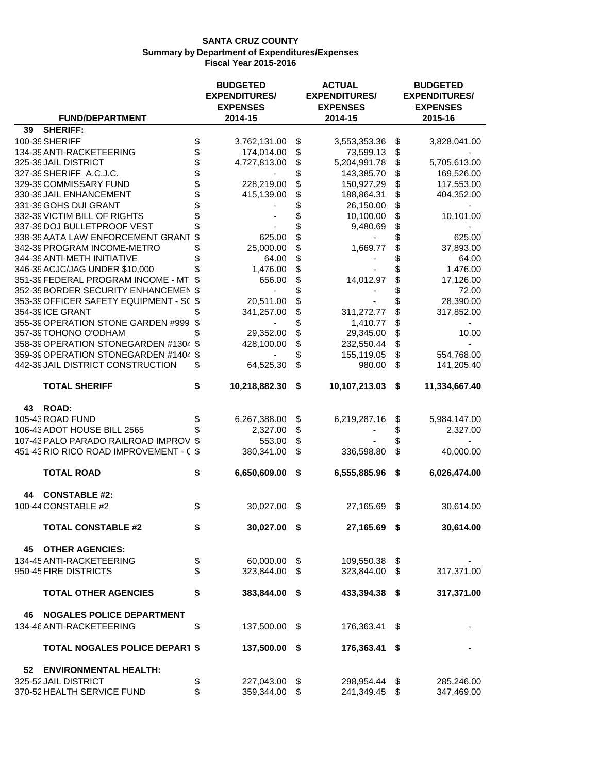| <b>FUND/DEPARTMENT</b>                  | <b>BUDGETED</b><br><b>EXPENDITURES/</b><br><b>EXPENSES</b><br>2014-15 | <b>ACTUAL</b><br><b>EXPENDITURES/</b><br><b>EXPENSES</b><br>2014-15 |      | <b>BUDGETED</b><br><b>EXPENDITURES/</b><br><b>EXPENSES</b><br>2015-16 |
|-----------------------------------------|-----------------------------------------------------------------------|---------------------------------------------------------------------|------|-----------------------------------------------------------------------|
| <b>SHERIFF:</b><br>39                   |                                                                       |                                                                     |      |                                                                       |
| 100-39 SHERIFF                          | \$<br>3,762,131.00                                                    | \$<br>3,553,353.36                                                  | \$   | 3,828,041.00                                                          |
| 134-39 ANTI-RACKETEERING                | \$<br>174,014.00                                                      | \$<br>73,599.13                                                     | \$   |                                                                       |
| 325-39 JAIL DISTRICT                    | \$<br>4,727,813.00                                                    | \$<br>5,204,991.78                                                  | \$   | 5,705,613.00                                                          |
| 327-39 SHERIFF A.C.J.C.                 | \$                                                                    | \$<br>143,385.70                                                    | \$   | 169,526.00                                                            |
| 329-39 COMMISSARY FUND                  | 228,219.00                                                            | \$<br>150,927.29                                                    | \$   | 117,553.00                                                            |
| 330-39 JAIL ENHANCEMENT                 | 415,139.00                                                            | \$<br>188,864.31                                                    | \$   | 404,352.00                                                            |
| 331-39 GOHS DUI GRANT                   |                                                                       | \$<br>26,150.00                                                     | \$   |                                                                       |
| 332-39 VICTIM BILL OF RIGHTS            |                                                                       | 10,100.00                                                           | \$   | 10,101.00                                                             |
| 337-39 DOJ BULLETPROOF VEST             |                                                                       | 9,480.69                                                            | \$   |                                                                       |
| 338-39 AATA LAW ENFORCEMENT GRANT       | 625.00                                                                | \$                                                                  | \$   | 625.00                                                                |
| 342-39 PROGRAM INCOME-METRO             | 25,000.00                                                             | \$<br>1,669.77                                                      | \$   | 37,893.00                                                             |
| 344-39 ANTI-METH INITIATIVE             | 64.00                                                                 | \$                                                                  | \$   | 64.00                                                                 |
| 346-39 ACJC/JAG UNDER \$10,000          | 1,476.00                                                              | \$                                                                  |      | 1,476.00                                                              |
| 351-39 FEDERAL PROGRAM INCOME - MT      | 656.00                                                                | \$<br>14,012.97                                                     | \$   | 17,126.00                                                             |
| 352-39 BORDER SECURITY ENHANCEMEN       | \$                                                                    | \$                                                                  |      | 72.00                                                                 |
| 353-39 OFFICER SAFETY EQUIPMENT - SC \$ | 20,511.00                                                             | \$                                                                  |      | 28,390.00                                                             |
| 354-39 ICE GRANT                        | 341,257.00                                                            | \$<br>311,272.77                                                    | \$   | 317,852.00                                                            |
| 355-39 OPERATION STONE GARDEN #999      |                                                                       | \$<br>1,410.77                                                      | \$   |                                                                       |
| 357-39 TOHONO O'ODHAM                   | 29,352.00                                                             | \$<br>29,345.00                                                     | \$   | 10.00                                                                 |
| 358-39 OPERATION STONEGARDEN #1304 \$   | 428,100.00                                                            | \$<br>232,550.44                                                    | \$   |                                                                       |
| 359-39 OPERATION STONEGARDEN #1404      | \$                                                                    | \$<br>155,119.05                                                    | \$   | 554,768.00                                                            |
| 442-39 JAIL DISTRICT CONSTRUCTION       | \$<br>64,525.30                                                       | \$<br>980.00                                                        | \$   | 141,205.40                                                            |
| <b>TOTAL SHERIFF</b>                    | \$<br>10,218,882.30                                                   | \$<br>10,107,213.03                                                 | \$   | 11,334,667.40                                                         |
| <b>ROAD:</b><br>43                      |                                                                       |                                                                     |      |                                                                       |
| 105-43 ROAD FUND                        | 6,267,388.00                                                          | \$<br>6,219,287.16                                                  | \$   | 5,984,147.00                                                          |
| 106-43 ADOT HOUSE BILL 2565             | 2,327.00                                                              | \$                                                                  | \$   | 2,327.00                                                              |
| 107-43 PALO PARADO RAILROAD IMPROV      | \$<br>553.00                                                          | \$                                                                  |      |                                                                       |
| 451-43 RIO RICO ROAD IMPROVEMENT - C \$ | 380,341.00                                                            | \$<br>336,598.80                                                    | \$   | 40,000.00                                                             |
| <b>TOTAL ROAD</b>                       | \$<br>6,650,609.00                                                    | \$<br>6,555,885.96                                                  | -\$  | 6,026,474.00                                                          |
| <b>CONSTABLE #2:</b><br>44              |                                                                       |                                                                     |      |                                                                       |
| 100-44 CONSTABLE #2                     | \$<br>30,027.00                                                       | \$<br>27,165.69                                                     | - \$ | 30,614.00                                                             |
| <b>TOTAL CONSTABLE #2</b>               | \$<br>30,027.00 \$                                                    | 27,165.69 \$                                                        |      | 30,614.00                                                             |
| 45 OTHER AGENCIES:                      |                                                                       |                                                                     |      |                                                                       |
| 134-45 ANTI-RACKETEERING                | \$<br>60,000.00 \$                                                    | 109,550.38 \$                                                       |      |                                                                       |
| 950-45 FIRE DISTRICTS                   | \$<br>323,844.00 \$                                                   | 323,844.00                                                          | - \$ | 317,371.00                                                            |
| <b>TOTAL OTHER AGENCIES</b>             | \$<br>383,844.00                                                      | \$<br>433,394.38 \$                                                 |      | 317,371.00                                                            |
| <b>NOGALES POLICE DEPARTMENT</b><br>46  |                                                                       |                                                                     |      |                                                                       |
| 134-46 ANTI-RACKETEERING                | \$<br>137,500.00                                                      | \$<br>176,363.41                                                    | - \$ |                                                                       |
| <b>TOTAL NOGALES POLICE DEPAR1 \$</b>   | 137,500.00 \$                                                         | 176,363.41 \$                                                       |      |                                                                       |
| <b>ENVIRONMENTAL HEALTH:</b><br>52      |                                                                       |                                                                     |      |                                                                       |
| 325-52 JAIL DISTRICT                    | \$<br>227,043.00                                                      | \$<br>298,954.44 \$                                                 |      | 285,246.00                                                            |
| 370-52 HEALTH SERVICE FUND              | \$<br>359,344.00                                                      | \$<br>241,349.45                                                    | \$   | 347,469.00                                                            |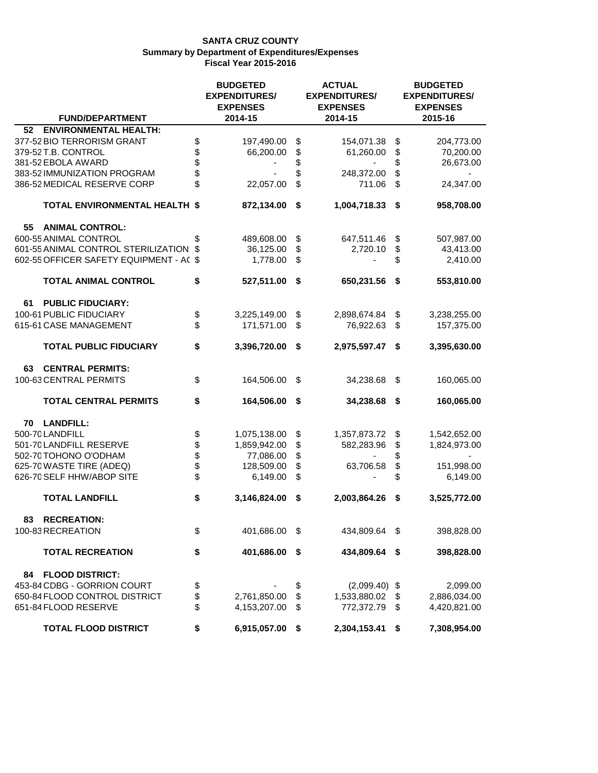|    |                                         | <b>BUDGETED</b><br><b>EXPENDITURES/</b> |              |    | <b>ACTUAL</b><br><b>EXPENDITURES/</b><br><b>EXPENSES</b> | <b>BUDGETED</b><br><b>EXPENDITURES/</b><br><b>EXPENSES</b> |              |  |  |
|----|-----------------------------------------|-----------------------------------------|--------------|----|----------------------------------------------------------|------------------------------------------------------------|--------------|--|--|
|    | <b>FUND/DEPARTMENT</b>                  |                                         | 2014-15      |    | 2014-15                                                  |                                                            | 2015-16      |  |  |
| 52 | <b>ENVIRONMENTAL HEALTH:</b>            |                                         |              |    |                                                          |                                                            |              |  |  |
|    | 377-52 BIO TERRORISM GRANT              | \$                                      | 197,490.00   | \$ | 154,071.38                                               | \$                                                         | 204,773.00   |  |  |
|    | 379-52 T.B. CONTROL                     | \$                                      | 66,200.00    | \$ | 61,260.00                                                | \$                                                         | 70,200.00    |  |  |
|    | 381-52 EBOLA AWARD                      | \$                                      |              | \$ |                                                          | \$                                                         | 26,673.00    |  |  |
|    | 383-52 IMMUNIZATION PROGRAM             | \$                                      |              | \$ | 248,372.00                                               | \$                                                         |              |  |  |
|    | 386-52 MEDICAL RESERVE CORP             | \$                                      | 22,057.00    | \$ | 711.06                                                   | \$                                                         | 24,347.00    |  |  |
|    | <b>TOTAL ENVIRONMENTAL HEALTH \$</b>    |                                         | 872,134.00   | \$ | 1,004,718.33                                             | - \$                                                       | 958,708.00   |  |  |
| 55 | <b>ANIMAL CONTROL:</b>                  |                                         |              |    |                                                          |                                                            |              |  |  |
|    | 600-55 ANIMAL CONTROL                   | \$                                      | 489,608.00   | \$ | 647,511.46                                               | \$                                                         | 507,987.00   |  |  |
|    | 601-55 ANIMAL CONTROL STERILIZATION     | S                                       | 36,125.00    | \$ | 2,720.10                                                 | \$                                                         | 43,413.00    |  |  |
|    | 602-55 OFFICER SAFETY EQUIPMENT - AC \$ |                                         | 1,778.00     | \$ |                                                          | \$                                                         | 2,410.00     |  |  |
|    | <b>TOTAL ANIMAL CONTROL</b>             | \$                                      | 527,511.00   | \$ | 650,231.56                                               | \$                                                         | 553,810.00   |  |  |
| 61 | <b>PUBLIC FIDUCIARY:</b>                |                                         |              |    |                                                          |                                                            |              |  |  |
|    | 100-61 PUBLIC FIDUCIARY                 | \$                                      | 3,225,149.00 | \$ | 2,898,674.84                                             | \$                                                         | 3,238,255.00 |  |  |
|    | 615-61 CASE MANAGEMENT                  | \$                                      | 171,571.00   | \$ | 76,922.63                                                | \$                                                         | 157,375.00   |  |  |
|    | <b>TOTAL PUBLIC FIDUCIARY</b>           | \$                                      | 3,396,720.00 | \$ | 2,975,597.47 \$                                          |                                                            | 3,395,630.00 |  |  |
| 63 | <b>CENTRAL PERMITS:</b>                 |                                         |              |    |                                                          |                                                            |              |  |  |
|    | 100-63 CENTRAL PERMITS                  | \$                                      | 164,506.00   | \$ | 34,238.68                                                | -\$                                                        | 160,065.00   |  |  |
|    | <b>TOTAL CENTRAL PERMITS</b>            | \$                                      | 164,506.00   | \$ | 34,238.68 \$                                             |                                                            | 160,065.00   |  |  |
| 70 | <b>LANDFILL:</b>                        |                                         |              |    |                                                          |                                                            |              |  |  |
|    | 500-70 LANDFILL                         | \$                                      | 1,075,138.00 | \$ | 1,357,873.72                                             | \$                                                         | 1,542,652.00 |  |  |
|    | 501-70 LANDFILL RESERVE                 | \$                                      | 1,859,942.00 | \$ | 582,283.96                                               | \$                                                         | 1,824,973.00 |  |  |
|    | 502-70 TOHONO O'ODHAM                   |                                         | 77,086.00    | \$ |                                                          | \$                                                         |              |  |  |
|    | 625-70 WASTE TIRE (ADEQ)                | \$                                      | 128,509.00   | \$ | 63,706.58                                                | \$                                                         | 151,998.00   |  |  |
|    | 626-70 SELF HHW/ABOP SITE               | \$                                      | 6,149.00     | \$ |                                                          | \$                                                         | 6,149.00     |  |  |
|    | <b>TOTAL LANDFILL</b>                   | \$                                      | 3,146,824.00 | \$ | 2,003,864.26                                             | \$                                                         | 3,525,772.00 |  |  |
| 83 | <b>RECREATION:</b>                      |                                         |              |    |                                                          |                                                            |              |  |  |
|    | 100-83 RECREATION                       | \$                                      | 401,686.00   | S. | 434,809.64 \$                                            |                                                            | 398,828.00   |  |  |
|    | <b>TOTAL RECREATION</b>                 | \$                                      | 401,686.00   | \$ | 434,809.64 \$                                            |                                                            | 398,828.00   |  |  |
| 84 | <b>FLOOD DISTRICT:</b>                  |                                         |              |    |                                                          |                                                            |              |  |  |
|    | 453-84 CDBG - GORRION COURT             | \$                                      |              | \$ | $(2,099.40)$ \$                                          |                                                            | 2,099.00     |  |  |
|    | 650-84 FLOOD CONTROL DISTRICT           | \$                                      | 2,761,850.00 | \$ | 1,533,880.02                                             | \$                                                         | 2,886,034.00 |  |  |
|    | 651-84 FLOOD RESERVE                    | \$                                      | 4,153,207.00 | \$ | 772,372.79                                               | \$                                                         | 4,420,821.00 |  |  |
|    | <b>TOTAL FLOOD DISTRICT</b>             | \$                                      | 6,915,057.00 | \$ | 2,304,153.41                                             | \$                                                         | 7,308,954.00 |  |  |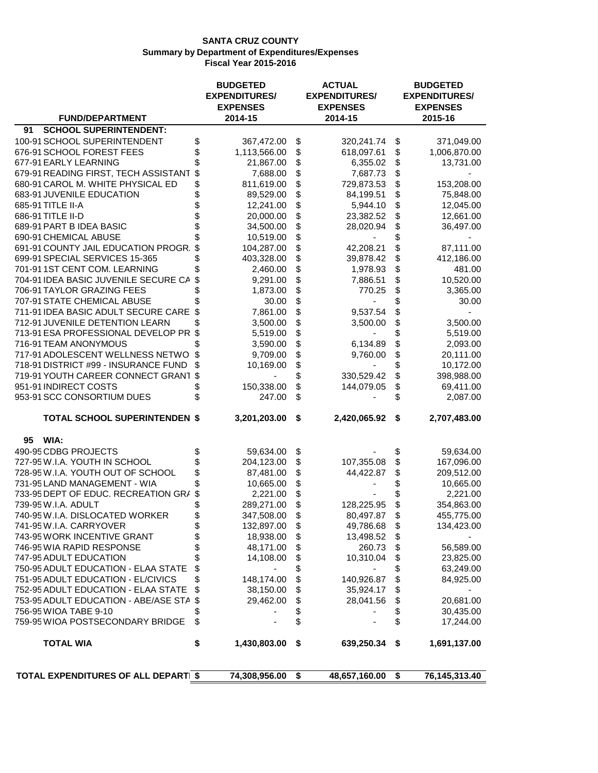|                                      | <b>BUDGETED</b><br><b>EXPENDITURES/</b> | <b>ACTUAL</b><br><b>EXPENDITURES/</b> | <b>BUDGETED</b><br><b>EXPENDITURES/</b> |
|--------------------------------------|-----------------------------------------|---------------------------------------|-----------------------------------------|
|                                      | <b>EXPENSES</b>                         | <b>EXPENSES</b>                       | <b>EXPENSES</b>                         |
| <b>FUND/DEPARTMENT</b>               | 2014-15                                 | 2014-15                               | 2015-16                                 |
| <b>SCHOOL SUPERINTENDENT:</b><br>91  |                                         |                                       |                                         |
| 100-91 SCHOOL SUPERINTENDENT         | \$<br>367,472.00                        | \$<br>320,241.74                      | \$<br>371,049.00                        |
| 676-91 SCHOOL FOREST FEES            | \$<br>1,113,566.00                      | \$<br>618,097.61                      | \$<br>1,006,870.00                      |
| 677-91 EARLY LEARNING                | 21,867.00                               | \$<br>6,355.02                        | \$<br>13,731.00                         |
| 679-91 READING FIRST, TECH ASSISTANT | \$<br>7,688.00                          | \$<br>7,687.73                        | \$                                      |
| 680-91 CAROL M. WHITE PHYSICAL ED    | \$<br>811,619.00                        | \$<br>729,873.53                      | \$<br>153,208.00                        |
| 683-91 JUVENILE EDUCATION            | 89,529.00                               | \$<br>84,199.51                       | \$<br>75,848.00                         |
| 685-91 TITLE II-A                    | 12,241.00                               | \$<br>5,944.10                        | \$<br>12,045.00                         |
| 686-91 TITLE II-D                    | 20,000.00                               | \$<br>23,382.52                       | \$<br>12,661.00                         |
| 689-91 PART B IDEA BASIC             | 34,500.00                               | \$<br>28,020.94                       | \$<br>36,497.00                         |
| 690-91 CHEMICAL ABUSE                | 10,519.00                               | \$                                    | \$                                      |
| 691-91 COUNTY JAIL EDUCATION PROGR.  | 104,287.00                              | \$<br>42,208.21                       | \$<br>87,111.00                         |
| 699-91 SPECIAL SERVICES 15-365       | 403,328.00                              | \$<br>39,878.42                       | \$<br>412,186.00                        |
| 701-911ST CENT COM. LEARNING         | 2,460.00                                | \$<br>1,978.93                        | \$<br>481.00                            |
| 704-91 IDEA BASIC JUVENILE SECURE CA | 9,291.00                                | \$<br>7,886.51                        | \$<br>10,520.00                         |
| 706-91 TAYLOR GRAZING FEES           | 1,873.00                                | \$<br>770.25                          | \$<br>3,365.00                          |
| 707-91 STATE CHEMICAL ABUSE          | 30.00                                   | \$                                    | \$<br>30.00                             |
| 711-91 IDEA BASIC ADULT SECURE CARE  | 7,861.00                                | \$<br>9,537.54                        | \$                                      |
| 712-91 JUVENILE DETENTION LEARN      | 3,500.00                                | \$<br>3,500.00                        | \$<br>3,500.00                          |
| 713-91 ESA PROFESSIONAL DEVELOP PR   | \$<br>5,519.00                          | \$                                    | \$<br>5,519.00                          |
| 716-91 TEAM ANONYMOUS                | 3,590.00                                | \$<br>6,134.89                        | \$<br>2,093.00                          |
| 717-91 ADOLESCENT WELLNESS NETWO     | \$<br>9,709.00                          | \$<br>9,760.00                        | \$<br>20,111.00                         |
| 718-91 DISTRICT #99 - INSURANCE FUND | 10,169.00                               |                                       |                                         |
|                                      | \$                                      | \$                                    | \$<br>10,172.00                         |
| 719-91 YOUTH CAREER CONNECT GRANT    |                                         | \$<br>330,529.42                      | \$<br>398,988.00                        |
| 951-91 INDIRECT COSTS                | 150,338.00                              | \$<br>144,079.05                      | \$<br>69,411.00                         |
| 953-91 SCC CONSORTIUM DUES           | 247.00                                  | \$                                    | \$<br>2,087.00                          |
| <b>TOTAL SCHOOL SUPERINTENDEN \$</b> | 3,201,203.00                            | \$<br>2,420,065.92 \$                 | 2,707,483.00                            |
| WIA:<br>95                           |                                         |                                       |                                         |
| 490-95 CDBG PROJECTS                 | 59,634.00                               | \$                                    | \$<br>59,634.00                         |
| 727-95 W.I.A. YOUTH IN SCHOOL        | 204,123.00                              | \$<br>107,355.08                      | \$<br>167,096.00                        |
| 728-95 W.I.A. YOUTH OUT OF SCHOOL    | 87,481.00                               | \$<br>44,422.87                       | \$<br>209,512.00                        |
| 731-95 LAND MANAGEMENT - WIA         | 10,665.00                               | \$                                    | 10,665.00                               |
| 733-95 DEPT OF EDUC. RECREATION GRA  | 2,221.00                                | \$                                    | 2,221.00                                |
| 739-95 W.I.A. ADULT                  | 289,271.00                              | \$<br>128,225.95                      | \$<br>354,863.00                        |
| 740-95 W.I.A. DISLOCATED WORKER      | 347,508.00                              | \$<br>80,497.87                       | \$<br>455,775.00                        |
| 741-95 W.I.A. CARRYOVER              | \$<br>132,897.00                        | \$<br>49,786.68                       | \$<br>134,423.00                        |
| 743-95 WORK INCENTIVE GRANT          | 18,938.00                               | \$<br>13,498.52                       | \$                                      |
| 746-95 WIA RAPID RESPONSE            | \$<br>48,171.00                         | \$<br>260.73                          | \$<br>56,589.00                         |
| 747-95 ADULT EDUCATION               | \$<br>14,108.00                         | \$<br>10,310.04                       | \$<br>23,825.00                         |
| 750-95 ADULT EDUCATION - ELAA STATE  | \$                                      | \$                                    | \$<br>63,249.00                         |
| 751-95 ADULT EDUCATION - EL/CIVICS   | \$<br>148,174.00                        | \$<br>140,926.87                      | \$<br>84,925.00                         |
| 752-95 ADULT EDUCATION - ELAA STATE  | \$<br>38,150.00                         | \$<br>35,924.17                       | \$                                      |
| 753-95 ADULT EDUCATION - ABE/ASE STA | \$<br>29,462.00                         | \$<br>28,041.56                       | \$<br>20,681.00                         |
| 756-95 WIOA TABE 9-10                | \$                                      | \$                                    | \$<br>30,435.00                         |
| 759-95 WIOA POSTSECONDARY BRIDGE     | \$                                      | \$                                    | \$<br>17,244.00                         |
| <b>TOTAL WIA</b>                     | \$<br>1,430,803.00                      | \$<br>639,250.34                      | \$<br>1,691,137.00                      |
|                                      |                                         |                                       |                                         |
| TOTAL EXPENDITURES OF ALL DEPARTI \$ | 74,308,956.00                           | \$<br>48,657,160.00                   | \$<br>76,145,313.40                     |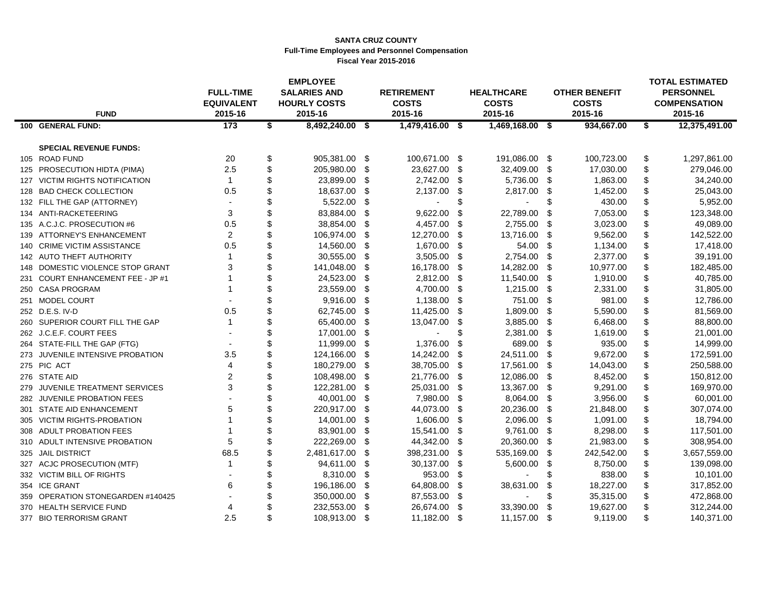#### **SANTA CRUZ COUNTY Full-Time Employees and Personnel Compensation Fiscal Year 2015-2016**

|                                   |                                       | <b>EMPLOYEE</b>                            |      |                                   |            |                                   |      |                                      | <b>TOTAL ESTIMATED</b>                  |
|-----------------------------------|---------------------------------------|--------------------------------------------|------|-----------------------------------|------------|-----------------------------------|------|--------------------------------------|-----------------------------------------|
|                                   | <b>FULL-TIME</b><br><b>EQUIVALENT</b> | <b>SALARIES AND</b><br><b>HOURLY COSTS</b> |      | <b>RETIREMENT</b><br><b>COSTS</b> |            | <b>HEALTHCARE</b><br><b>COSTS</b> |      | <b>OTHER BENEFIT</b><br><b>COSTS</b> | <b>PERSONNEL</b><br><b>COMPENSATION</b> |
| <b>FUND</b>                       | 2015-16                               | 2015-16                                    |      | 2015-16                           |            | 2015-16                           |      | 2015-16                              | 2015-16                                 |
| 100 GENERAL FUND:                 | 173                                   | \$<br>8,492,240.00 \$                      |      | $1,479,416.00$ \$                 |            | 1,469,168.00 \$                   |      | 934,667.00                           | \$<br>12,375,491.00                     |
|                                   |                                       |                                            |      |                                   |            |                                   |      |                                      |                                         |
| <b>SPECIAL REVENUE FUNDS:</b>     |                                       |                                            |      |                                   |            |                                   |      |                                      |                                         |
| 105 ROAD FUND                     | 20                                    | \$<br>905,381.00 \$                        |      | 100,671.00 \$                     |            | 191,086.00 \$                     |      | 100,723.00                           | \$<br>1,297,861.00                      |
| 125 PROSECUTION HIDTA (PIMA)      | 2.5                                   | \$<br>205,980.00                           | \$   | 23,627.00 \$                      |            | 32,409.00                         | -\$  | 17,030.00                            | \$<br>279,046.00                        |
| 127 VICTIM RIGHTS NOTIFICATION    | $\mathbf{1}$                          | \$<br>23,899.00                            | \$   | 2,742.00 \$                       |            | 5,736.00                          | - \$ | 1,863.00                             | \$<br>34,240.00                         |
| 128 BAD CHECK COLLECTION          | 0.5                                   | \$<br>18,637.00                            | - \$ | 2,137.00 \$                       |            | 2,817.00                          | - \$ | 1,452.00                             | \$<br>25,043.00                         |
| 132 FILL THE GAP (ATTORNEY)       | $\blacksquare$                        | \$<br>5,522.00                             | \$   |                                   | \$         |                                   | \$   | 430.00                               | \$<br>5,952.00                          |
| 134 ANTI-RACKETEERING             | 3                                     | 83,884.00                                  | \$   | 9,622.00                          | \$         | 22,789.00                         | \$   | 7,053.00                             | \$<br>123,348.00                        |
| 135 A.C.J.C. PROSECUTION #6       | 0.5                                   | \$<br>38,854.00                            | \$   | 4,457.00                          | - \$       | 2,755.00                          | \$   | 3,023.00                             | \$<br>49,089.00                         |
| 139 ATTORNEY'S ENHANCEMENT        | 2                                     | \$<br>106,974.00                           | \$   | 12,270.00                         | $^{\circ}$ | 13,716.00                         | \$   | 9,562.00                             | \$<br>142,522.00                        |
| 140 CRIME VICTIM ASSISTANCE       | 0.5                                   | 14,560.00                                  | \$   | 1,670.00 \$                       |            | 54.00                             | -\$  | 1,134.00                             | \$<br>17,418.00                         |
| 142 AUTO THEFT AUTHORITY          | $\mathbf{1}$                          | \$<br>30,555.00                            | \$   | 3,505.00                          | -\$        | 2,754.00                          | \$   | 2,377.00                             | \$<br>39,191.00                         |
| 148 DOMESTIC VIOLENCE STOP GRANT  | 3                                     | \$<br>141,048.00                           | -\$  | 16,178.00                         | - \$       | 14,282.00                         | \$   | 10,977.00                            | \$<br>182,485.00                        |
| 231 COURT ENHANCEMENT FEE - JP #1 |                                       | 24,523.00                                  | - \$ | 2,812.00                          | - \$       | 11,540.00                         | \$   | 1,910.00                             | \$<br>40,785.00                         |
| 250 CASA PROGRAM                  |                                       | \$<br>23,559.00                            | \$   | 4,700.00 \$                       |            | 1,215.00                          | \$   | 2,331.00                             | \$<br>31,805.00                         |
| 251 MODEL COURT                   |                                       | 9,916.00                                   | \$   | 1,138.00 \$                       |            | 751.00                            | - \$ | 981.00                               | \$<br>12,786.00                         |
| 252 D.E.S. IV-D                   | 0.5                                   | 62,745.00                                  | - \$ | 11,425.00                         | -\$        | 1,809.00                          | -\$  | 5,590.00                             | \$<br>81,569.00                         |
| 260 SUPERIOR COURT FILL THE GAP   | $\mathbf{1}$                          | \$<br>65,400.00                            | -\$  | 13,047.00                         | -\$        | 3,885.00                          | -\$  | 6,468.00                             | \$<br>88,800.00                         |
| 262 J.C.E.F. COURT FEES           |                                       | \$<br>17,001.00                            | \$   |                                   | \$         | 2,381.00                          | -\$  | 1,619.00                             | \$<br>21,001.00                         |
| 264 STATE-FILL THE GAP (FTG)      |                                       | \$<br>11,999.00                            | \$   | 1,376.00                          | \$         | 689.00                            | \$   | 935.00                               | \$<br>14,999.00                         |
| 273 JUVENILE INTENSIVE PROBATION  | 3.5                                   | \$<br>124,166.00                           | \$   | 14,242.00                         | \$         | 24,511.00                         | \$   | 9,672.00                             | \$<br>172,591.00                        |
| 275 PIC ACT                       | 4                                     | \$<br>180,279.00                           | \$   | 38,705.00                         | -\$        | 17,561.00                         | -\$  | 14,043.00                            | \$<br>250,588.00                        |
| 276 STATE AID                     | $\overline{2}$                        | \$<br>108,498.00                           | -\$  | 21,776.00 \$                      |            | 12,086.00                         | \$   | 8,452.00                             | \$<br>150,812.00                        |
| 279 JUVENILE TREATMENT SERVICES   | 3                                     | \$<br>122,281.00                           | - \$ | 25,031.00                         | - \$       | 13,367.00                         | \$   | 9,291.00                             | \$<br>169,970.00                        |
| 282 JUVENILE PROBATION FEES       |                                       | 40,001.00                                  | \$   | 7,980.00                          | $^{\circ}$ | 8,064.00                          | \$   | 3,956.00                             | \$<br>60,001.00                         |
| 301 STATE AID ENHANCEMENT         | 5                                     | \$<br>220,917.00                           | -\$  | 44,073.00                         | -\$        | 20,236.00                         | \$   | 21,848.00                            | \$<br>307,074.00                        |
| 305 VICTIM RIGHTS-PROBATION       |                                       | \$<br>14,001.00                            | \$   | 1,606.00                          | \$         | 2,096.00                          | - \$ | 1,091.00                             | \$<br>18,794.00                         |
| 308 ADULT PROBATION FEES          |                                       | \$<br>83,901.00                            | \$   | 15,541.00 \$                      |            | 9,761.00                          | - \$ | 8,298.00                             | \$<br>117,501.00                        |
| 310 ADULT INTENSIVE PROBATION     | 5                                     | \$<br>222,269.00                           | -\$  | 44,342.00                         | -\$        | 20,360.00                         | -\$  | 21,983.00                            | \$<br>308,954.00                        |
| 325 JAIL DISTRICT                 | 68.5                                  | \$<br>2,481,617.00                         | \$   | 398,231.00                        | -\$        | 535,169.00                        | \$   | 242,542.00                           | \$<br>3,657,559.00                      |
| 327 ACJC PROSECUTION (MTF)        | $\mathbf{1}$                          | \$<br>94,611.00                            | \$   | 30,137.00                         | $\sqrt{3}$ | 5,600.00                          | \$   | 8,750.00                             | \$<br>139,098.00                        |
| 332 VICTIM BILL OF RIGHTS         |                                       | 8,310.00                                   | \$   | 953.00                            | -\$        |                                   | \$   | 838.00                               | \$<br>10,101.00                         |
| 354 ICE GRANT                     | 6                                     | \$<br>196,186.00                           | \$   | 64,808.00                         | \$         | 38,631.00                         | \$   | 18,227.00                            | \$<br>317,852.00                        |
| 359 OPERATION STONEGARDEN #140425 |                                       | 350,000.00                                 | - \$ | 87,553.00                         | -\$        |                                   | S    | 35,315.00                            | 472,868.00                              |
| 370 HEALTH SERVICE FUND           | 4                                     | 232,553.00                                 | \$   | 26,674.00                         | \$         | 33,390.00                         | \$   | 19,627.00                            | \$<br>312,244.00                        |
| 377 BIO TERRORISM GRANT           | 2.5                                   | \$<br>108,913.00                           | -\$  | 11,182.00 \$                      |            | 11,157.00                         | \$   | 9,119.00                             | \$<br>140,371.00                        |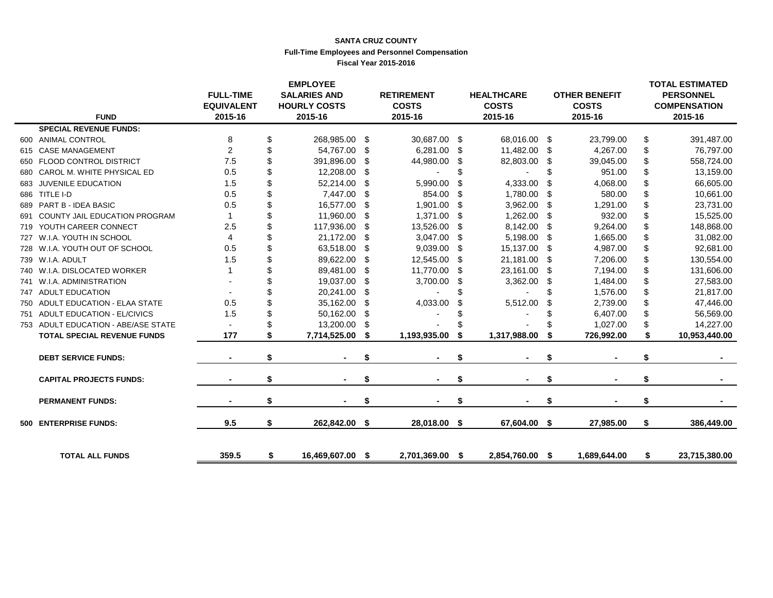#### **SANTA CRUZ COUNTY Full-Time Employees and Personnel Compensation Fiscal Year 2015-2016**

|     | <b>FUND</b>                          | <b>FULL-TIME</b><br><b>EQUIVALENT</b><br>2015-16 | <b>EMPLOYEE</b><br><b>SALARIES AND</b><br><b>HOURLY COSTS</b><br>2015-16 |      | <b>RETIREMENT</b><br><b>COSTS</b><br>2015-16 |      | <b>HEALTHCARE</b><br><b>COSTS</b><br>2015-16 |     | <b>OTHER BENEFIT</b><br><b>COSTS</b><br>2015-16 | <b>TOTAL ESTIMATED</b><br><b>PERSONNEL</b><br><b>COMPENSATION</b><br>2015-16 |
|-----|--------------------------------------|--------------------------------------------------|--------------------------------------------------------------------------|------|----------------------------------------------|------|----------------------------------------------|-----|-------------------------------------------------|------------------------------------------------------------------------------|
|     | <b>SPECIAL REVENUE FUNDS:</b>        |                                                  |                                                                          |      |                                              |      |                                              |     |                                                 |                                                                              |
|     | 600 ANIMAL CONTROL                   | 8                                                | \$<br>268,985.00 \$                                                      |      | 30,687.00                                    | -\$  | 68,016.00 \$                                 |     | 23,799.00                                       | \$<br>391,487.00                                                             |
| 615 | <b>CASE MANAGEMENT</b>               | 2                                                | \$<br>54,767.00 \$                                                       |      | 6,281.00                                     | \$   | 11,482.00                                    | \$  | 4,267.00                                        | \$<br>76,797.00                                                              |
| 650 | <b>FLOOD CONTROL DISTRICT</b>        | 7.5                                              | \$<br>391,896.00 \$                                                      |      | 44,980.00                                    | S    | 82,803.00                                    | \$  | 39.045.00                                       | \$<br>558,724.00                                                             |
| 680 | CAROL M. WHITE PHYSICAL ED           | 0.5                                              | 12,208.00 \$                                                             |      | ٠                                            | \$.  |                                              | \$  | 951.00                                          | \$<br>13,159.00                                                              |
| 683 | JUVENILE EDUCATION                   | 1.5                                              | \$<br>52,214.00 \$                                                       |      | 5,990.00                                     | S    | 4,333.00                                     | \$  | 4,068.00                                        | \$<br>66,605.00                                                              |
|     | 686 TITLE I-D                        | 0.5                                              | \$<br>7,447.00 \$                                                        |      | 854.00                                       | \$   | 1,780.00                                     | \$  | 580.00                                          | \$<br>10,661.00                                                              |
| 689 | PART B - IDEA BASIC                  | 0.5                                              | 16,577.00 \$                                                             |      | 1,901.00                                     | \$   | 3,962.00                                     | \$  | 1,291.00                                        | \$<br>23,731.00                                                              |
| 691 | <b>COUNTY JAIL EDUCATION PROGRAM</b> | $\mathbf 1$                                      | \$<br>11,960.00 \$                                                       |      | 1,371.00                                     | \$   | 1,262.00                                     | \$  | 932.00                                          | \$<br>15,525.00                                                              |
| 719 | YOUTH CAREER CONNECT                 | 2.5                                              | \$<br>117,936.00 \$                                                      |      | 13,526.00                                    | \$   | 8,142.00                                     | \$  | 9,264.00                                        | \$<br>148,868.00                                                             |
| 727 | W.I.A. YOUTH IN SCHOOL               | 4                                                | \$<br>21,172.00 \$                                                       |      | 3,047.00                                     | -\$  | 5,198.00                                     | -\$ | 1,665.00                                        | \$<br>31,082.00                                                              |
| 728 | W.I.A. YOUTH OUT OF SCHOOL           | 0.5                                              | \$<br>63,518.00 \$                                                       |      | 9,039.00                                     | \$   | 15,137.00                                    | \$  | 4,987.00                                        | \$<br>92,681.00                                                              |
|     | 739 W.I.A. ADULT                     | 1.5                                              | 89,622.00 \$                                                             |      | 12,545.00                                    | -\$  | 21,181.00                                    | \$  | 7,206.00                                        | \$<br>130,554.00                                                             |
| 740 | W.I.A. DISLOCATED WORKER             |                                                  | 89,481.00 \$                                                             |      | 11,770.00                                    | -\$  | 23,161.00                                    | S   | 7,194.00                                        | \$<br>131,606.00                                                             |
| 741 | W.I.A. ADMINISTRATION                |                                                  | 19,037.00 \$                                                             |      | 3,700.00                                     | \$   | 3,362.00                                     | \$  | 1,484.00                                        | \$<br>27,583.00                                                              |
| 747 | <b>ADULT EDUCATION</b>               |                                                  | 20,241.00                                                                | - \$ |                                              |      |                                              | \$  | 1,576.00                                        | \$<br>21,817.00                                                              |
| 750 | ADULT EDUCATION - ELAA STATE         | 0.5                                              | 35,162.00 \$                                                             |      | 4,033.00                                     |      | 5,512.00                                     | \$  | 2,739.00                                        | \$<br>47,446.00                                                              |
| 751 | <b>ADULT EDUCATION - EL/CIVICS</b>   | 1.5                                              | \$<br>50,162.00 \$                                                       |      |                                              |      |                                              |     | 6,407.00                                        | \$<br>56,569.00                                                              |
|     | 753 ADULT EDUCATION - ABE/ASE STATE  |                                                  | 13,200.00 \$                                                             |      |                                              |      |                                              |     | 1,027.00                                        | \$<br>14,227.00                                                              |
|     | <b>TOTAL SPECIAL REVENUE FUNDS</b>   | 177                                              | 7,714,525.00                                                             | \$   | 1,193,935.00                                 |      | 1,317,988.00                                 |     | 726,992.00                                      | \$<br>10,953,440.00                                                          |
|     | <b>DEBT SERVICE FUNDS:</b>           |                                                  | \$                                                                       |      |                                              | S    |                                              | \$  |                                                 | \$                                                                           |
|     | <b>CAPITAL PROJECTS FUNDS:</b>       |                                                  | \$                                                                       | \$   |                                              | \$   |                                              | \$  |                                                 | \$                                                                           |
|     | <b>PERMANENT FUNDS:</b>              |                                                  | \$                                                                       | \$   |                                              | \$   |                                              |     |                                                 | \$                                                                           |
| 500 | <b>ENTERPRISE FUNDS:</b>             | 9.5                                              | \$<br>262,842.00 \$                                                      |      | 28,018.00                                    | - \$ | 67,604.00 \$                                 |     | 27,985.00                                       | \$<br>386,449.00                                                             |
|     | <b>TOTAL ALL FUNDS</b>               | 359.5                                            | \$<br>16,469,607.00 \$                                                   |      | 2,701,369.00 \$                              |      | 2,854,760.00 \$                              |     | 1,689,644.00                                    | \$<br>23,715,380.00                                                          |